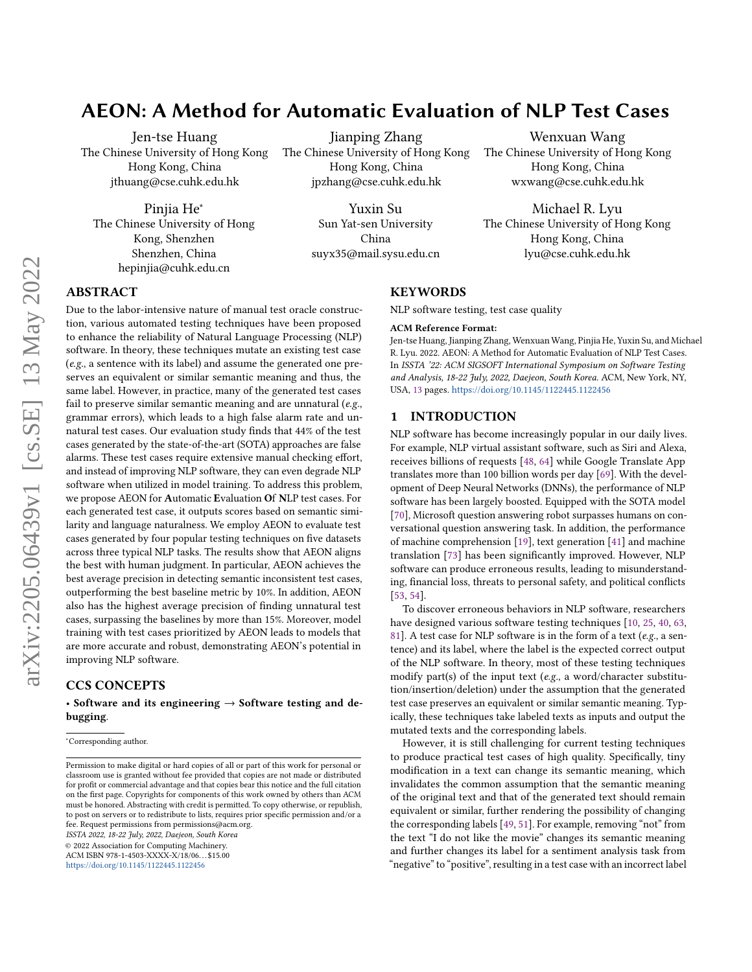# AEON: A Method for Automatic Evaluation of NLP Test Cases

Jen-tse Huang The Chinese University of Hong Kong Hong Kong, China jthuang@cse.cuhk.edu.hk

Pinjia He<sup>∗</sup> The Chinese University of Hong Kong, Shenzhen Shenzhen, China hepinjia@cuhk.edu.cn

Jianping Zhang The Chinese University of Hong Kong Hong Kong, China jpzhang@cse.cuhk.edu.hk

> Yuxin Su Sun Yat-sen University China suyx35@mail.sysu.edu.cn

Wenxuan Wang The Chinese University of Hong Kong Hong Kong, China wxwang@cse.cuhk.edu.hk

Michael R. Lyu The Chinese University of Hong Kong Hong Kong, China lyu@cse.cuhk.edu.hk

## ABSTRACT

Due to the labor-intensive nature of manual test oracle construction, various automated testing techniques have been proposed to enhance the reliability of Natural Language Processing (NLP) software. In theory, these techniques mutate an existing test case (e.g., a sentence with its label) and assume the generated one preserves an equivalent or similar semantic meaning and thus, the same label. However, in practice, many of the generated test cases fail to preserve similar semantic meaning and are unnatural (e.g., grammar errors), which leads to a high false alarm rate and unnatural test cases. Our evaluation study finds that 44% of the test cases generated by the state-of-the-art (SOTA) approaches are false alarms. These test cases require extensive manual checking effort, and instead of improving NLP software, they can even degrade NLP software when utilized in model training. To address this problem, we propose AEON for Automatic Evaluation Of NLP test cases. For each generated test case, it outputs scores based on semantic similarity and language naturalness. We employ AEON to evaluate test cases generated by four popular testing techniques on five datasets across three typical NLP tasks. The results show that AEON aligns the best with human judgment. In particular, AEON achieves the best average precision in detecting semantic inconsistent test cases, outperforming the best baseline metric by 10%. In addition, AEON also has the highest average precision of finding unnatural test cases, surpassing the baselines by more than 15%. Moreover, model training with test cases prioritized by AEON leads to models that are more accurate and robust, demonstrating AEON's potential in improving NLP software.

## CCS CONCEPTS

• Software and its engineering  $\rightarrow$  Software testing and debugging.

<sup>∗</sup>Corresponding author.

ISSTA 2022, 18-22 July, 2022, Daejeon, South Korea

© 2022 Association for Computing Machinery.

ACM ISBN 978-1-4503-XXXX-X/18/06. . . \$15.00

<https://doi.org/10.1145/1122445.1122456>

## **KEYWORDS**

NLP software testing, test case quality

#### ACM Reference Format:

Jen-tse Huang, Jianping Zhang, Wenxuan Wang, Pinjia He, Yuxin Su, and Michael R. Lyu. 2022. AEON: A Method for Automatic Evaluation of NLP Test Cases. In ISSTA '22: ACM SIGSOFT International Symposium on Software Testing and Analysis, 18-22 July, 2022, Daejeon, South Korea. ACM, New York, NY, USA, [13](#page-12-0) pages. <https://doi.org/10.1145/1122445.1122456>

## <span id="page-0-0"></span>1 INTRODUCTION

NLP software has become increasingly popular in our daily lives. For example, NLP virtual assistant software, such as Siri and Alexa, receives billions of requests [\[48,](#page-11-0) [64\]](#page-12-1) while Google Translate App translates more than 100 billion words per day [\[69\]](#page-12-2). With the development of Deep Neural Networks (DNNs), the performance of NLP software has been largely boosted. Equipped with the SOTA model [\[70\]](#page-12-3), Microsoft question answering robot surpasses humans on conversational question answering task. In addition, the performance of machine comprehension [\[19\]](#page-11-1), text generation [\[41\]](#page-11-2) and machine translation [\[73\]](#page-12-4) has been significantly improved. However, NLP software can produce erroneous results, leading to misunderstanding, financial loss, threats to personal safety, and political conflicts [\[53,](#page-11-3) [54\]](#page-11-4).

To discover erroneous behaviors in NLP software, researchers have designed various software testing techniques [\[10,](#page-10-0) [25,](#page-11-5) [40,](#page-11-6) [63,](#page-12-5) [81\]](#page-12-6). A test case for NLP software is in the form of a text (e.g., a sentence) and its label, where the label is the expected correct output of the NLP software. In theory, most of these testing techniques modify part(s) of the input text (e.g., a word/character substitution/insertion/deletion) under the assumption that the generated test case preserves an equivalent or similar semantic meaning. Typically, these techniques take labeled texts as inputs and output the mutated texts and the corresponding labels.

However, it is still challenging for current testing techniques to produce practical test cases of high quality. Specifically, tiny modification in a text can change its semantic meaning, which invalidates the common assumption that the semantic meaning of the original text and that of the generated text should remain equivalent or similar, further rendering the possibility of changing the corresponding labels [\[49,](#page-11-7) [51\]](#page-11-8). For example, removing "not" from the text "I do not like the movie" changes its semantic meaning and further changes its label for a sentiment analysis task from "negative" to "positive", resulting in a test case with an incorrect label

Permission to make digital or hard copies of all or part of this work for personal or classroom use is granted without fee provided that copies are not made or distributed for profit or commercial advantage and that copies bear this notice and the full citation on the first page. Copyrights for components of this work owned by others than ACM must be honored. Abstracting with credit is permitted. To copy otherwise, or republish, to post on servers or to redistribute to lists, requires prior specific permission and/or a fee. Request permissions from permissions@acm.org.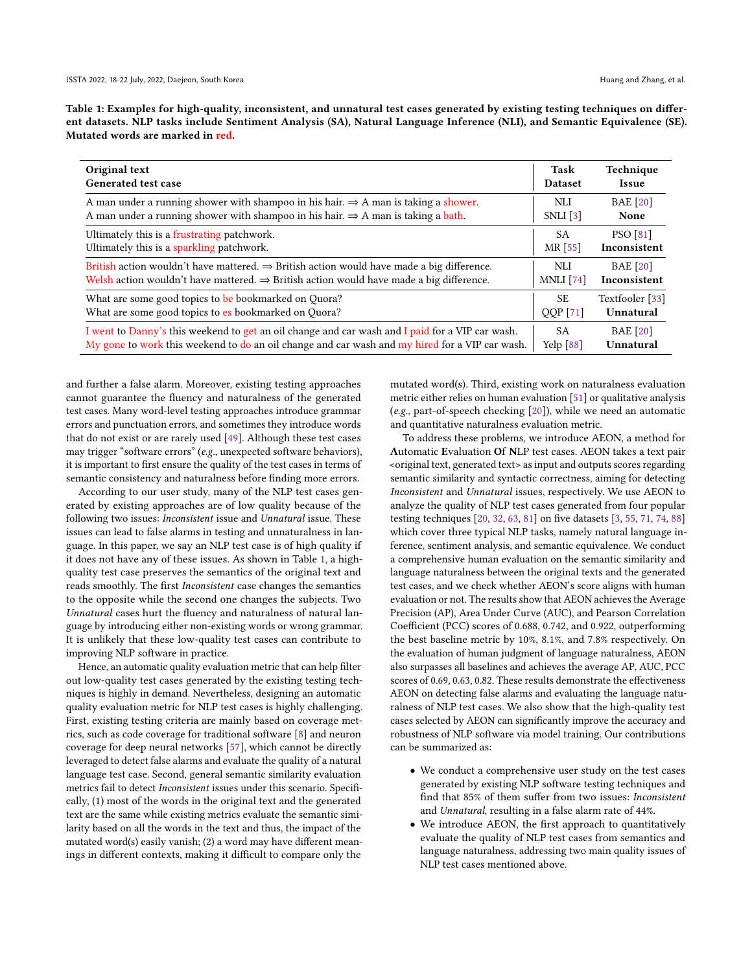<span id="page-1-0"></span>Table 1: Examples for high-quality, inconsistent, and unnatural test cases generated by existing testing techniques on different datasets. NLP tasks include Sentiment Analysis (SA), Natural Language Inference (NLI), and Semantic Equivalence (SE). Mutated words are marked in red.

| Original text                                                                                         | Task             | Technique       |
|-------------------------------------------------------------------------------------------------------|------------------|-----------------|
| Generated test case                                                                                   | <b>Dataset</b>   | Issue           |
| A man under a running shower with shampoo in his hair. $\Rightarrow$ A man is taking a shower.        | NLI              | <b>BAE</b> [20] |
| A man under a running shower with shampoo in his hair. $\Rightarrow$ A man is taking a bath.          | $SNLI$ [3]       | None            |
| Ultimately this is a frustrating patchwork.                                                           | SA               | <b>PSO</b> [81] |
| Ultimately this is a sparkling patchwork.                                                             | MR [55]          | Inconsistent    |
| British action wouldn't have mattered. $\Rightarrow$ British action would have made a big difference. | NLI              | <b>BAE</b> [20] |
| Welsh action wouldn't have mattered. $\Rightarrow$ British action would have made a big difference.   | <b>MNLI</b> [74] | Inconsistent    |
| What are some good topics to be bookmarked on Quora?                                                  | SE.              | Textfooler [33] |
| What are some good topics to es bookmarked on Quora?                                                  | QQP[71]          | Unnatural       |
| I went to Danny's this weekend to get an oil change and car wash and I paid for a VIP car wash.       | <b>SA</b>        | <b>BAE</b> [20] |
| My gone to work this weekend to do an oil change and car wash and my hired for a VIP car wash.        | Yelp $[88]$      | Unnatural       |

and further a false alarm. Moreover, existing testing approaches cannot guarantee the fluency and naturalness of the generated test cases. Many word-level testing approaches introduce grammar errors and punctuation errors, and sometimes they introduce words that do not exist or are rarely used [\[49\]](#page-11-7). Although these test cases may trigger "software errors" (e.g., unexpected software behaviors), it is important to first ensure the quality of the test cases in terms of semantic consistency and naturalness before finding more errors.

According to our user study, many of the NLP test cases generated by existing approaches are of low quality because of the following two issues: Inconsistent issue and Unnatural issue. These issues can lead to false alarms in testing and unnaturalness in language. In this paper, we say an NLP test case is of high quality if it does not have any of these issues. As shown in Table [1,](#page-1-0) a highquality test case preserves the semantics of the original text and reads smoothly. The first Inconsistent case changes the semantics to the opposite while the second one changes the subjects. Two Unnatural cases hurt the fluency and naturalness of natural language by introducing either non-existing words or wrong grammar. It is unlikely that these low-quality test cases can contribute to improving NLP software in practice.

Hence, an automatic quality evaluation metric that can help filter out low-quality test cases generated by the existing testing techniques is highly in demand. Nevertheless, designing an automatic quality evaluation metric for NLP test cases is highly challenging. First, existing testing criteria are mainly based on coverage metrics, such as code coverage for traditional software [\[8\]](#page-10-2) and neuron coverage for deep neural networks [\[57\]](#page-12-11), which cannot be directly leveraged to detect false alarms and evaluate the quality of a natural language test case. Second, general semantic similarity evaluation metrics fail to detect Inconsistent issues under this scenario. Specifically, (1) most of the words in the original text and the generated text are the same while existing metrics evaluate the semantic similarity based on all the words in the text and thus, the impact of the mutated word(s) easily vanish; (2) a word may have different meanings in different contexts, making it difficult to compare only the

mutated word(s). Third, existing work on naturalness evaluation metric either relies on human evaluation [\[51\]](#page-11-8) or qualitative analysis (e.g., part-of-speech checking [\[20\]](#page-11-9)), while we need an automatic and quantitative naturalness evaluation metric.

To address these problems, we introduce AEON, a method for Automatic Evaluation Of NLP test cases. AEON takes a text pair <original text, generated text> as input and outputs scores regarding semantic similarity and syntactic correctness, aiming for detecting Inconsistent and Unnatural issues, respectively. We use AEON to analyze the quality of NLP test cases generated from four popular testing techniques [\[20,](#page-11-9) [32,](#page-11-11) [63,](#page-12-5) [81\]](#page-12-6) on five datasets [\[3,](#page-10-1) [55,](#page-12-7) [71,](#page-12-9) [74,](#page-12-8) [88\]](#page-12-10) which cover three typical NLP tasks, namely natural language inference, sentiment analysis, and semantic equivalence. We conduct a comprehensive human evaluation on the semantic similarity and language naturalness between the original texts and the generated test cases, and we check whether AEON's score aligns with human evaluation or not. The results show that AEON achieves the Average Precision (AP), Area Under Curve (AUC), and Pearson Correlation Coefficient (PCC) scores of 0.688, 0.742, and 0.922, outperforming the best baseline metric by 10%, 8.1%, and 7.8% respectively. On the evaluation of human judgment of language naturalness, AEON also surpasses all baselines and achieves the average AP, AUC, PCC scores of 0.69, 0.63, 0.82. These results demonstrate the effectiveness AEON on detecting false alarms and evaluating the language naturalness of NLP test cases. We also show that the high-quality test cases selected by AEON can significantly improve the accuracy and robustness of NLP software via model training. Our contributions can be summarized as:

- We conduct a comprehensive user study on the test cases generated by existing NLP software testing techniques and find that 85% of them suffer from two issues: Inconsistent and Unnatural, resulting in a false alarm rate of 44%.
- We introduce AEON, the first approach to quantitatively evaluate the quality of NLP test cases from semantics and language naturalness, addressing two main quality issues of NLP test cases mentioned above.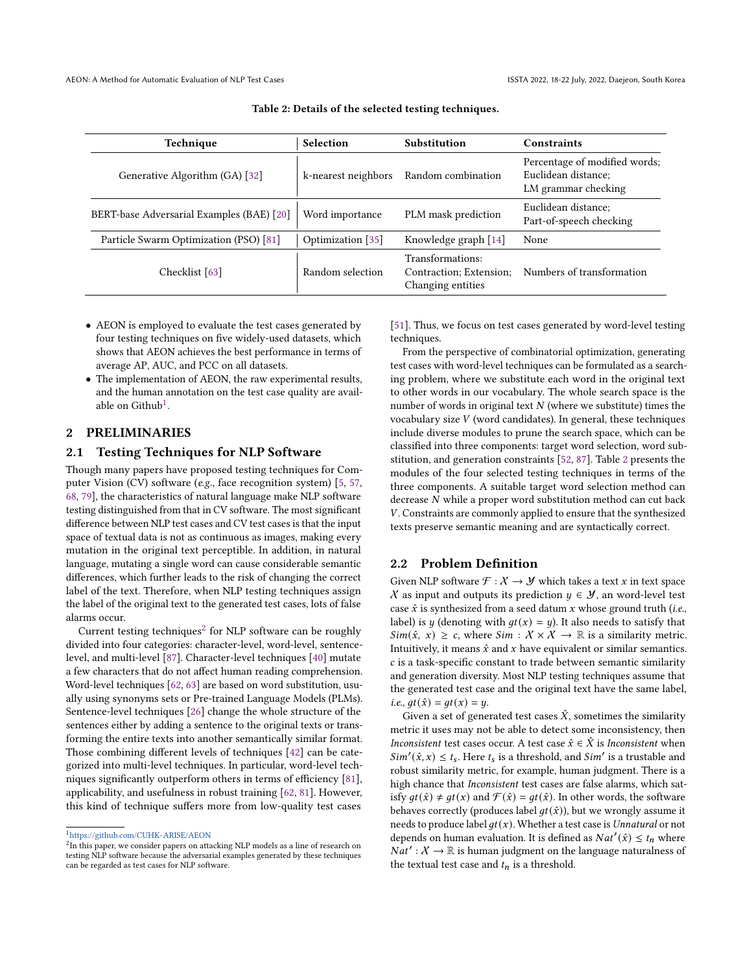<span id="page-2-2"></span>

| Technique                                 | <b>Selection</b>    | Substitution                                                     | Constraints                                                                 |  |
|-------------------------------------------|---------------------|------------------------------------------------------------------|-----------------------------------------------------------------------------|--|
| Generative Algorithm (GA) [32]            | k-nearest neighbors | Random combination                                               | Percentage of modified words;<br>Euclidean distance:<br>LM grammar checking |  |
| BERT-base Adversarial Examples (BAE) [20] | Word importance     | PLM mask prediction                                              | Euclidean distance;<br>Part-of-speech checking                              |  |
| Particle Swarm Optimization (PSO) [81]    | Optimization [35]   | Knowledge graph [14]                                             | None                                                                        |  |
| Checklist [63]                            | Random selection    | Transformations:<br>Contraction; Extension;<br>Changing entities | Numbers of transformation                                                   |  |

Table 2: Details of the selected testing techniques.

- AEON is employed to evaluate the test cases generated by four testing techniques on five widely-used datasets, which shows that AEON achieves the best performance in terms of average AP, AUC, and PCC on all datasets.
- The implementation of AEON, the raw experimental results, and the human annotation on the test case quality are available on Github $^1$  $^1$ .

## 2 PRELIMINARIES

## 2.1 Testing Techniques for NLP Software

Though many papers have proposed testing techniques for Computer Vision (CV) software (e.g., face recognition system) [\[5,](#page-10-3) [57,](#page-12-11) [68,](#page-12-12) [79\]](#page-12-13), the characteristics of natural language make NLP software testing distinguished from that in CV software. The most significant difference between NLP test cases and CV test cases is that the input space of textual data is not as continuous as images, making every mutation in the original text perceptible. In addition, in natural language, mutating a single word can cause considerable semantic differences, which further leads to the risk of changing the correct label of the text. Therefore, when NLP testing techniques assign the label of the original text to the generated test cases, lots of false alarms occur.

 $Current$  testing techniques<sup>[2](#page-2-1)</sup> for NLP software can be roughly divided into four categories: character-level, word-level, sentencelevel, and multi-level [\[87\]](#page-12-14). Character-level techniques [\[40\]](#page-11-6) mutate a few characters that do not affect human reading comprehension. Word-level techniques [\[62,](#page-12-15) [63\]](#page-12-5) are based on word substitution, usually using synonyms sets or Pre-trained Language Models (PLMs). Sentence-level techniques [\[26\]](#page-11-14) change the whole structure of the sentences either by adding a sentence to the original texts or transforming the entire texts into another semantically similar format. Those combining different levels of techniques [\[42\]](#page-11-15) can be categorized into multi-level techniques. In particular, word-level techniques significantly outperform others in terms of efficiency [\[81\]](#page-12-6), applicability, and usefulness in robust training [\[62,](#page-12-15) [81\]](#page-12-6). However, this kind of technique suffers more from low-quality test cases

[\[51\]](#page-11-8). Thus, we focus on test cases generated by word-level testing techniques.

From the perspective of combinatorial optimization, generating test cases with word-level techniques can be formulated as a searching problem, where we substitute each word in the original text to other words in our vocabulary. The whole search space is the number of words in original text  $N$  (where we substitute) times the vocabulary size  $V$  (word candidates). In general, these techniques include diverse modules to prune the search space, which can be classified into three components: target word selection, word substitution, and generation constraints [\[52,](#page-11-16) [87\]](#page-12-14). Table [2](#page-2-2) presents the modules of the four selected testing techniques in terms of the three components. A suitable target word selection method can decrease  $N$  while a proper word substitution method can cut back . Constraints are commonly applied to ensure that the synthesized texts preserve semantic meaning and are syntactically correct.

#### 2.2 Problem Definition

Given NLP software  $\mathcal{F} : \mathcal{X} \to \mathcal{Y}$  which takes a text x in text space X as input and outputs its prediction  $y \in \mathcal{Y}$ , an word-level test case  $\hat{x}$  is synthesized from a seed datum x whose ground truth (i.e., label) is *y* (denoting with  $gt(x) = y$ ). It also needs to satisfy that  $Sim(\hat{x}, x) \geq c$ , where  $Sim : \mathcal{X} \times \mathcal{X} \rightarrow \mathbb{R}$  is a similarity metric. Intuitively, it means  $\hat{x}$  and  $x$  have equivalent or similar semantics.  $c$  is a task-specific constant to trade between semantic similarity and generation diversity. Most NLP testing techniques assume that the generated test case and the original text have the same label, *i.e.*,  $gt(\hat{x}) = gt(x) = y$ .

Given a set of generated test cases  $\hat{X}$ , sometimes the similarity metric it uses may not be able to detect some inconsistency, then *Inconsistent* test cases occur. A test case  $\hat{x} \in \hat{X}$  is *Inconsistent* when  $Sim'(\hat{x}, x) \leq t_s$ . Here  $t_s$  is a threshold, and  $Sim'$  is a trustable and robust similarity metric, for example, human judgment. There is a high chance that Inconsistent test cases are false alarms, which satisfy  $gt(\hat{x}) \neq gt(x)$  and  $\mathcal{F}(\hat{x}) = gt(\hat{x})$ . In other words, the software behaves correctly (produces label  $gt(\hat{x})$ ), but we wrongly assume it needs to produce label  $gt(x)$ . Whether a test case is Unnatural or not depends on human evaluation. It is defined as  $Nat'(\hat{x}) \leq t_n$  where  $\overline{Nat}': X \to \mathbb{R}$  is human judgment on the language naturalness of the textual test case and  $t_n$  is a threshold.

<span id="page-2-0"></span><sup>1</sup><https://github.com/CUHK-ARISE/AEON>

<span id="page-2-1"></span> $^{2}$ In this paper, we consider papers on attacking NLP models as a line of research on testing NLP software because the adversarial examples generated by these techniques can be regarded as test cases for NLP software.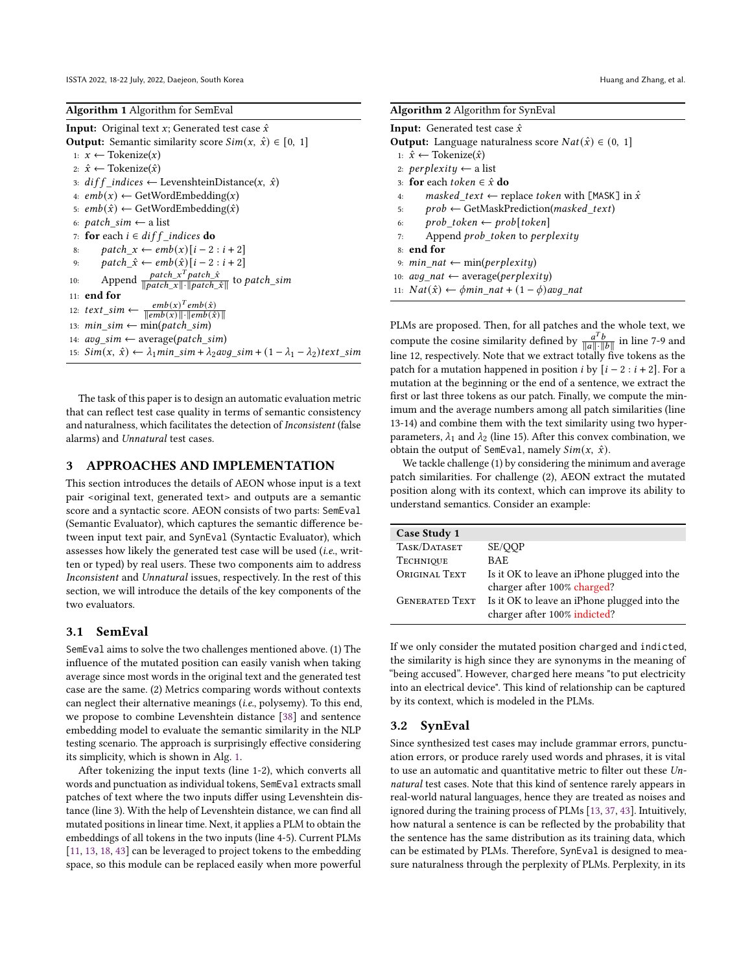<span id="page-3-0"></span>

| Algorithm 1 Algorithm for SemEval |  |  |
|-----------------------------------|--|--|
|                                   |  |  |

**Input:** Original text  $x$ ; Generated test case  $\hat{x}$ **Output:** Semantic similarity score  $Sim(x, \hat{x}) \in [0, 1]$ 1:  $x$  ← Tokenize $(x)$ 2:  $\hat{x}$  ← Tokenize( $\hat{x}$ ) 3:  $diff\_indices \leftarrow \text{LevenshteinDistance}(x, \hat{x})$ 4:  $emb(x) \leftarrow GetWordEmbedding(x)$ 5:  $emb(\hat{x}) \leftarrow GetWordEmbedding(\hat{x})$ 6:  $patch\_sim \leftarrow$  a list 7: for each  $i \in diff\_indices$  do 8:  $patch_x \leftarrow emb(x) [i - 2 : i + 2]$ 9:  $patch\_ \hat{x} \leftarrow emb(\hat{x}) [i - 2 : i + 2]$ 10: Append  $\frac{patch_x^Tpatch_x^T}{1}$  $\frac{patch\_x^T patch\_x}{\|patch\_x\| \cdot \|patch\_x\|}$  to patch\_sim 11: end for 12:  $text\_sim \leftarrow \frac{emb(x)^T emb(\hat{x})}{\sqrt{min_b(\hat{x})}}$  $\Vert emb(\vec{x}) \Vert \cdot \Vert emb(\hat{x}) \Vert$ 13:  $min\_sim \leftarrow min(patch\_sim)$ 14:  $avg\_sim \leftarrow average(path\_sim)$ 15:  $Sim(x, \hat{x}) \leftarrow \lambda_1 min\_sim + \lambda_2 avg\_sim + (1 - \lambda_1 - \lambda_2) text\_sim$ 

The task of this paper is to design an automatic evaluation metric that can reflect test case quality in terms of semantic consistency and naturalness, which facilitates the detection of Inconsistent (false alarms) and Unnatural test cases.

## 3 APPROACHES AND IMPLEMENTATION

This section introduces the details of AEON whose input is a text pair <original text, generated text> and outputs are a semantic score and a syntactic score. AEON consists of two parts: SemEval (Semantic Evaluator), which captures the semantic difference between input text pair, and SynEval (Syntactic Evaluator), which assesses how likely the generated test case will be used (i.e., written or typed) by real users. These two components aim to address Inconsistent and Unnatural issues, respectively. In the rest of this section, we will introduce the details of the key components of the two evaluators.

## 3.1 SemEval

SemEval aims to solve the two challenges mentioned above. (1) The influence of the mutated position can easily vanish when taking average since most words in the original text and the generated test case are the same. (2) Metrics comparing words without contexts can neglect their alternative meanings (i.e., polysemy). To this end, we propose to combine Levenshtein distance [\[38\]](#page-11-17) and sentence embedding model to evaluate the semantic similarity in the NLP testing scenario. The approach is surprisingly effective considering its simplicity, which is shown in Alg. [1.](#page-3-0)

After tokenizing the input texts (line 1-2), which converts all words and punctuation as individual tokens, SemEval extracts small patches of text where the two inputs differ using Levenshtein distance (line 3). With the help of Levenshtein distance, we can find all mutated positions in linear time. Next, it applies a PLM to obtain the embeddings of all tokens in the two inputs (line 4-5). Current PLMs [\[11,](#page-10-4) [13,](#page-11-18) [18,](#page-11-19) [43\]](#page-11-20) can be leveraged to project tokens to the embedding space, so this module can be replaced easily when more powerful

<span id="page-3-1"></span>

PLMs are proposed. Then, for all patches and the whole text, we compute the cosine similarity defined by  $\frac{a^T b}{a^T b}$  $\frac{a^T b}{\|a\| \cdot \|b\|}$  in line 7-9 and line 12, respectively. Note that we extract totally five tokens as the patch for a mutation happened in position *i* by  $[i - 2 : i + 2]$ . For a mutation at the beginning or the end of a sentence, we extract the first or last three tokens as our patch. Finally, we compute the minimum and the average numbers among all patch similarities (line 13-14) and combine them with the text similarity using two hyperparameters,  $\lambda_1$  and  $\lambda_2$  (line 15). After this convex combination, we obtain the output of SemEval, namely  $Sim(x, \hat{x})$ .

We tackle challenge (1) by considering the minimum and average patch similarities. For challenge (2), AEON extract the mutated position along with its context, which can improve its ability to understand semantics. Consider an example:

| Case Study 1          |                                              |
|-----------------------|----------------------------------------------|
| TASK/DATASET          | SE/QQP                                       |
| <b>TECHNIQUE</b>      | BAE                                          |
| ORIGINAL TEXT         | Is it OK to leave an iPhone plugged into the |
|                       | charger after 100% charged?                  |
| <b>GENERATED TEXT</b> | Is it OK to leave an iPhone plugged into the |
|                       | charger after 100% indicted?                 |

If we only consider the mutated position charged and indicted, the similarity is high since they are synonyms in the meaning of "being accused". However, charged here means "to put electricity into an electrical device". This kind of relationship can be captured by its context, which is modeled in the PLMs.

#### 3.2 SynEval

Since synthesized test cases may include grammar errors, punctuation errors, or produce rarely used words and phrases, it is vital to use an automatic and quantitative metric to filter out these Unnatural test cases. Note that this kind of sentence rarely appears in real-world natural languages, hence they are treated as noises and ignored during the training process of PLMs [\[13,](#page-11-18) [37,](#page-11-21) [43\]](#page-11-20). Intuitively, how natural a sentence is can be reflected by the probability that the sentence has the same distribution as its training data, which can be estimated by PLMs. Therefore, SynEval is designed to measure naturalness through the perplexity of PLMs. Perplexity, in its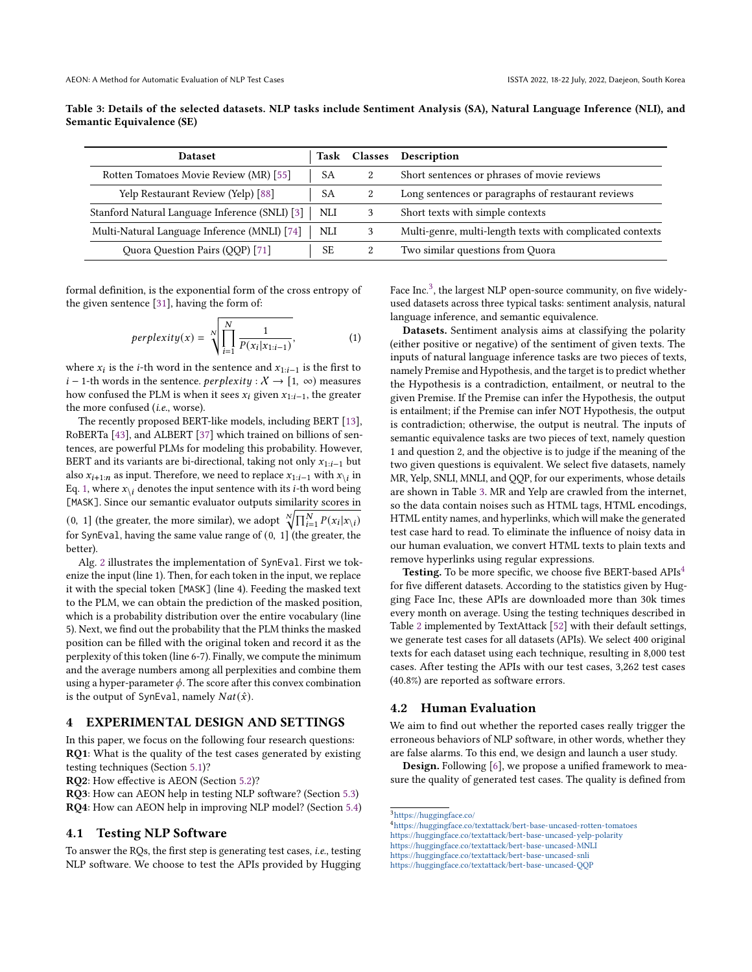<span id="page-4-2"></span>Table 3: Details of the selected datasets. NLP tasks include Sentiment Analysis (SA), Natural Language Inference (NLI), and Semantic Equivalence (SE)

| <b>Dataset</b>                                 | Task      | <b>Classes</b> | Description                                               |
|------------------------------------------------|-----------|----------------|-----------------------------------------------------------|
| Rotten Tomatoes Movie Review (MR) [55]         | <b>SA</b> | 2              | Short sentences or phrases of movie reviews               |
| Yelp Restaurant Review (Yelp) [88]             | <b>SA</b> | 2              | Long sentences or paragraphs of restaurant reviews        |
| Stanford Natural Language Inference (SNLI) [3] | NLI       |                | Short texts with simple contexts                          |
| Multi-Natural Language Inference (MNLI) [74]   | NLI       |                | Multi-genre, multi-length texts with complicated contexts |
| Quora Question Pairs (QQP) [71]                | <b>SE</b> | 2              | Two similar questions from Quora                          |

formal definition, is the exponential form of the cross entropy of the given sentence [\[31\]](#page-11-22), having the form of:

<span id="page-4-0"></span>
$$
perplexity(x) = \sqrt[N]{\prod_{i=1}^{N} \frac{1}{P(x_i|x_{1:i-1})}},
$$
 (1)

where  $x_i$  is the *i*-th word in the sentence and  $x_{1:i-1}$  is the first to *i* − 1-th words in the sentence. *perplexity* :  $X \rightarrow [1, \infty)$  measures how confused the PLM is when it sees  $x_i$  given  $x_{1:i-1}$ , the greater the more confused (i.e., worse).

The recently proposed BERT-like models, including BERT [\[13\]](#page-11-18), RoBERTa [\[43\]](#page-11-20), and ALBERT [\[37\]](#page-11-21) which trained on billions of sentences, are powerful PLMs for modeling this probability. However, BERT and its variants are bi-directional, taking not only  $x_{1:i-1}$  but also  $x_{i+1:n}$  as input. Therefore, we need to replace  $x_{1:i-1}$  with  $x_{\backslash i}$  in Eq. [1,](#page-4-0) where  $x_{\backslash i}$  denotes the input sentence with its *i*-th word being [MASK]. Since our semantic evaluator outputs similarity scores in (0, 1] (the greater, the more similar), we adopt  $\sqrt[N]{\prod_{i=1}^{N} P(x_i|x_i)}$ for SynEval, having the same value range of  $(0, 1]$  (the greater, the better).

Alg. [2](#page-3-1) illustrates the implementation of SynEval. First we tokenize the input (line 1). Then, for each token in the input, we replace it with the special token [MASK] (line 4). Feeding the masked text to the PLM, we can obtain the prediction of the masked position, which is a probability distribution over the entire vocabulary (line 5). Next, we find out the probability that the PLM thinks the masked position can be filled with the original token and record it as the perplexity of this token (line 6-7). Finally, we compute the minimum and the average numbers among all perplexities and combine them using a hyper-parameter  $\phi$ . The score after this convex combination is the output of SynEval, namely  $Nat(\hat{x})$ .

## 4 EXPERIMENTAL DESIGN AND SETTINGS

In this paper, we focus on the following four research questions: RQ1: What is the quality of the test cases generated by existing testing techniques (Section [5.1\)](#page-6-0)?

RQ2: How effective is AEON (Section [5.2\)](#page-6-1)?

RQ3: How can AEON help in testing NLP software? (Section [5.3\)](#page-8-0) RQ4: How can AEON help in improving NLP model? (Section [5.4\)](#page-8-1)

## 4.1 Testing NLP Software

To answer the RQs, the first step is generating test cases, i.e., testing NLP software. We choose to test the APIs provided by Hugging

Face  $\text{Inc.}^3$  $\text{Inc.}^3$ , the largest NLP open-source community, on five widelyused datasets across three typical tasks: sentiment analysis, natural language inference, and semantic equivalence.

Datasets. Sentiment analysis aims at classifying the polarity (either positive or negative) of the sentiment of given texts. The inputs of natural language inference tasks are two pieces of texts, namely Premise and Hypothesis, and the target is to predict whether the Hypothesis is a contradiction, entailment, or neutral to the given Premise. If the Premise can infer the Hypothesis, the output is entailment; if the Premise can infer NOT Hypothesis, the output is contradiction; otherwise, the output is neutral. The inputs of semantic equivalence tasks are two pieces of text, namely question 1 and question 2, and the objective is to judge if the meaning of the two given questions is equivalent. We select five datasets, namely MR, Yelp, SNLI, MNLI, and QQP, for our experiments, whose details are shown in Table [3.](#page-4-2) MR and Yelp are crawled from the internet, so the data contain noises such as HTML tags, HTML encodings, HTML entity names, and hyperlinks, which will make the generated test case hard to read. To eliminate the influence of noisy data in our human evaluation, we convert HTML texts to plain texts and remove hyperlinks using regular expressions.

Testing. To be more specific, we choose five BERT-based APIs<sup>[4](#page-4-3)</sup> for five different datasets. According to the statistics given by Hugging Face Inc, these APIs are downloaded more than 30k times every month on average. Using the testing techniques described in Table [2](#page-2-2) implemented by TextAttack [\[52\]](#page-11-16) with their default settings, we generate test cases for all datasets (APIs). We select 400 original texts for each dataset using each technique, resulting in 8,000 test cases. After testing the APIs with our test cases, 3,262 test cases (40.8%) are reported as software errors.

## <span id="page-4-4"></span>4.2 Human Evaluation

We aim to find out whether the reported cases really trigger the erroneous behaviors of NLP software, in other words, whether they are false alarms. To this end, we design and launch a user study.

Design. Following [\[6\]](#page-10-5), we propose a unified framework to measure the quality of generated test cases. The quality is defined from

<span id="page-4-1"></span> $^3$  <https://huggingface.co/>  $\,$ 

<span id="page-4-3"></span><sup>4</sup><https://huggingface.co/textattack/bert-base-uncased-rotten-tomatoes>

<https://huggingface.co/textattack/bert-base-uncased-yelp-polarity>

<https://huggingface.co/textattack/bert-base-uncased-MNLI> <https://huggingface.co/textattack/bert-base-uncased-snli>

<https://huggingface.co/textattack/bert-base-uncased-QQP>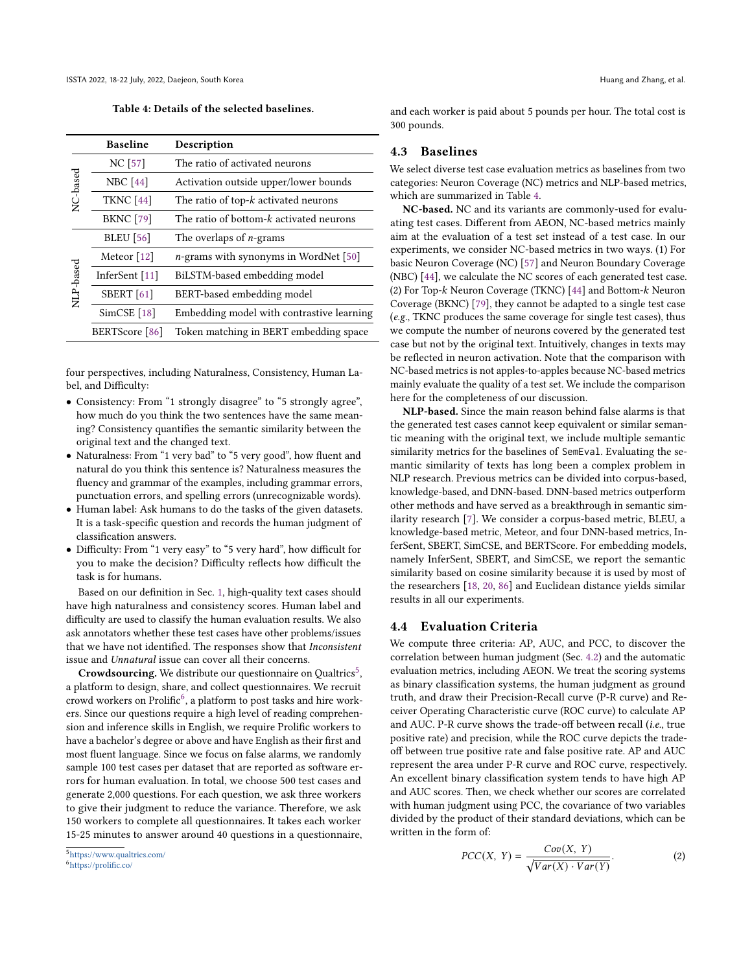Table 4: Details of the selected baselines.

<span id="page-5-2"></span>

|           | <b>Baseline</b>   | Description                               |
|-----------|-------------------|-------------------------------------------|
|           | NC [57]           | The ratio of activated neurons            |
| NC-based  | <b>NBC</b> [44]   | Activation outside upper/lower bounds     |
|           | <b>TKNC</b> [44]  | The ratio of top-k activated neurons      |
|           | <b>BKNC</b> [79]  | The ratio of bottom-k activated neurons   |
|           | <b>BLEU</b> [56]  | The overlaps of $n$ -grams                |
|           | Meteor [12]       | $n$ -grams with synonyms in WordNet [50]  |
|           | InferSent [11]    | BiLSTM-based embedding model              |
| NLP-based | <b>SBERT</b> [61] | BERT-based embedding model                |
|           | SimCSE[18]        | Embedding model with contrastive learning |
|           | BERTScore [86]    | Token matching in BERT embedding space    |

four perspectives, including Naturalness, Consistency, Human Label, and Difficulty:

- Consistency: From "1 strongly disagree" to "5 strongly agree", how much do you think the two sentences have the same meaning? Consistency quantifies the semantic similarity between the original text and the changed text.
- Naturalness: From "1 very bad" to "5 very good", how fluent and natural do you think this sentence is? Naturalness measures the fluency and grammar of the examples, including grammar errors, punctuation errors, and spelling errors (unrecognizable words).
- Human label: Ask humans to do the tasks of the given datasets. It is a task-specific question and records the human judgment of classification answers.
- Difficulty: From "1 very easy" to "5 very hard", how difficult for you to make the decision? Difficulty reflects how difficult the task is for humans.

Based on our definition in Sec. [1,](#page-0-0) high-quality text cases should have high naturalness and consistency scores. Human label and difficulty are used to classify the human evaluation results. We also ask annotators whether these test cases have other problems/issues that we have not identified. The responses show that Inconsistent issue and Unnatural issue can cover all their concerns.

Crowdsourcing. We distribute our questionnaire on Qualtrics<sup>[5](#page-5-0)</sup>, a platform to design, share, and collect questionnaires. We recruit  $\frac{1}{2}$  crowd workers on Prolific<sup>[6](#page-5-1)</sup>, a platform to post tasks and hire workers. Since our questions require a high level of reading comprehension and inference skills in English, we require Prolific workers to have a bachelor's degree or above and have English as their first and most fluent language. Since we focus on false alarms, we randomly sample 100 test cases per dataset that are reported as software errors for human evaluation. In total, we choose 500 test cases and generate 2,000 questions. For each question, we ask three workers to give their judgment to reduce the variance. Therefore, we ask 150 workers to complete all questionnaires. It takes each worker 15-25 minutes to answer around 40 questions in a questionnaire,

and each worker is paid about 5 pounds per hour. The total cost is 300 pounds.

## <span id="page-5-3"></span>4.3 Baselines

We select diverse test case evaluation metrics as baselines from two categories: Neuron Coverage (NC) metrics and NLP-based metrics, which are summarized in Table [4.](#page-5-2)

NC-based. NC and its variants are commonly-used for evaluating test cases. Different from AEON, NC-based metrics mainly aim at the evaluation of a test set instead of a test case. In our experiments, we consider NC-based metrics in two ways. (1) For basic Neuron Coverage (NC) [\[57\]](#page-12-11) and Neuron Boundary Coverage (NBC) [\[44\]](#page-11-23), we calculate the NC scores of each generated test case. (2) For Top- $k$  Neuron Coverage (TKNC) [\[44\]](#page-11-23) and Bottom- $k$  Neuron Coverage (BKNC) [\[79\]](#page-12-13), they cannot be adapted to a single test case (e.g., TKNC produces the same coverage for single test cases), thus we compute the number of neurons covered by the generated test case but not by the original text. Intuitively, changes in texts may be reflected in neuron activation. Note that the comparison with NC-based metrics is not apples-to-apples because NC-based metrics mainly evaluate the quality of a test set. We include the comparison here for the completeness of our discussion.

NLP-based. Since the main reason behind false alarms is that the generated test cases cannot keep equivalent or similar semantic meaning with the original text, we include multiple semantic similarity metrics for the baselines of SemEval. Evaluating the semantic similarity of texts has long been a complex problem in NLP research. Previous metrics can be divided into corpus-based, knowledge-based, and DNN-based. DNN-based metrics outperform other methods and have served as a breakthrough in semantic similarity research [\[7\]](#page-10-7). We consider a corpus-based metric, BLEU, a knowledge-based metric, Meteor, and four DNN-based metrics, InferSent, SBERT, SimCSE, and BERTScore. For embedding models, namely InferSent, SBERT, and SimCSE, we report the semantic similarity based on cosine similarity because it is used by most of the researchers [\[18,](#page-11-19) [20,](#page-11-9) [86\]](#page-12-18) and Euclidean distance yields similar results in all our experiments.

## 4.4 Evaluation Criteria

We compute three criteria: AP, AUC, and PCC, to discover the correlation between human judgment (Sec. [4.2\)](#page-4-4) and the automatic evaluation metrics, including AEON. We treat the scoring systems as binary classification systems, the human judgment as ground truth, and draw their Precision-Recall curve (P-R curve) and Receiver Operating Characteristic curve (ROC curve) to calculate AP and AUC. P-R curve shows the trade-off between recall (i.e., true positive rate) and precision, while the ROC curve depicts the tradeoff between true positive rate and false positive rate. AP and AUC represent the area under P-R curve and ROC curve, respectively. An excellent binary classification system tends to have high AP and AUC scores. Then, we check whether our scores are correlated with human judgment using PCC, the covariance of two variables divided by the product of their standard deviations, which can be written in the form of:

$$
PCC(X, Y) = \frac{Cov(X, Y)}{\sqrt{Var(X) \cdot Var(Y)}}.
$$
 (2)

<span id="page-5-0"></span><sup>5</sup><https://www.qualtrics.com/>

<span id="page-5-1"></span><sup>6</sup><https://prolific.co/>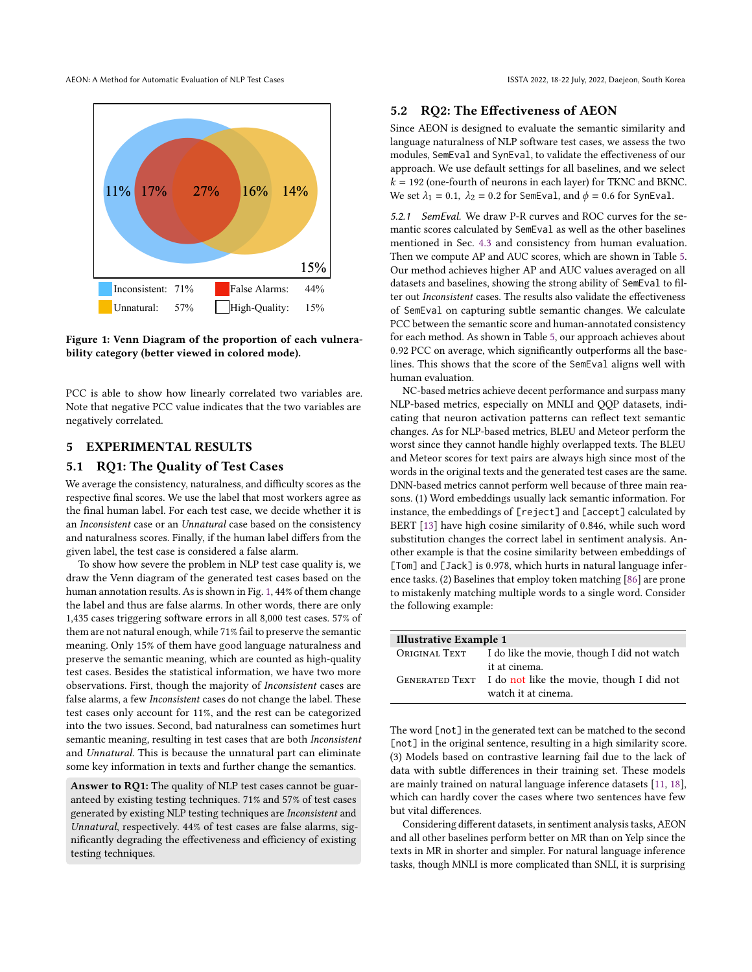AEON: A Method for Automatic Evaluation of NLP Test Cases ISSTA 2022, 18-22 July, 2022, Daejeon, South Korea

<span id="page-6-2"></span>

Figure 1: Venn Diagram of the proportion of each vulnerability category (better viewed in colored mode).

PCC is able to show how linearly correlated two variables are. Note that negative PCC value indicates that the two variables are negatively correlated.

## 5 EXPERIMENTAL RESULTS

### <span id="page-6-0"></span>5.1 RQ1: The Quality of Test Cases

We average the consistency, naturalness, and difficulty scores as the respective final scores. We use the label that most workers agree as the final human label. For each test case, we decide whether it is an Inconsistent case or an Unnatural case based on the consistency and naturalness scores. Finally, if the human label differs from the given label, the test case is considered a false alarm.

To show how severe the problem in NLP test case quality is, we draw the Venn diagram of the generated test cases based on the human annotation results. As is shown in Fig. [1,](#page-6-2) 44% of them change the label and thus are false alarms. In other words, there are only 1,435 cases triggering software errors in all 8,000 test cases. 57% of them are not natural enough, while 71% fail to preserve the semantic meaning. Only 15% of them have good language naturalness and preserve the semantic meaning, which are counted as high-quality test cases. Besides the statistical information, we have two more observations. First, though the majority of Inconsistent cases are false alarms, a few Inconsistent cases do not change the label. These test cases only account for 11%, and the rest can be categorized into the two issues. Second, bad naturalness can sometimes hurt semantic meaning, resulting in test cases that are both Inconsistent and Unnatural. This is because the unnatural part can eliminate some key information in texts and further change the semantics.

Answer to RQ1: The quality of NLP test cases cannot be guaranteed by existing testing techniques. 71% and 57% of test cases generated by existing NLP testing techniques are Inconsistent and Unnatural, respectively. 44% of test cases are false alarms, significantly degrading the effectiveness and efficiency of existing testing techniques.

#### <span id="page-6-1"></span>5.2 RQ2: The Effectiveness of AEON

Since AEON is designed to evaluate the semantic similarity and language naturalness of NLP software test cases, we assess the two modules, SemEval and SynEval, to validate the effectiveness of our approach. We use default settings for all baselines, and we select  $k = 192$  (one-fourth of neurons in each layer) for TKNC and BKNC. We set  $\lambda_1 = 0.1$ ,  $\lambda_2 = 0.2$  for SemEval, and  $\phi = 0.6$  for SynEval.

5.2.1 SemEval. We draw P-R curves and ROC curves for the semantic scores calculated by SemEval as well as the other baselines mentioned in Sec. [4.3](#page-5-3) and consistency from human evaluation. Then we compute AP and AUC scores, which are shown in Table [5.](#page-7-0) Our method achieves higher AP and AUC values averaged on all datasets and baselines, showing the strong ability of SemEval to filter out Inconsistent cases. The results also validate the effectiveness of SemEval on capturing subtle semantic changes. We calculate PCC between the semantic score and human-annotated consistency for each method. As shown in Table [5,](#page-7-0) our approach achieves about 0.92 PCC on average, which significantly outperforms all the baselines. This shows that the score of the SemEval aligns well with human evaluation.

NC-based metrics achieve decent performance and surpass many NLP-based metrics, especially on MNLI and QQP datasets, indicating that neuron activation patterns can reflect text semantic changes. As for NLP-based metrics, BLEU and Meteor perform the worst since they cannot handle highly overlapped texts. The BLEU and Meteor scores for text pairs are always high since most of the words in the original texts and the generated test cases are the same. DNN-based metrics cannot perform well because of three main reasons. (1) Word embeddings usually lack semantic information. For instance, the embeddings of [reject] and [accept] calculated by BERT [\[13\]](#page-11-18) have high cosine similarity of 0.846, while such word substitution changes the correct label in sentiment analysis. Another example is that the cosine similarity between embeddings of [Tom] and [Jack] is 0.978, which hurts in natural language inference tasks. (2) Baselines that employ token matching [\[86\]](#page-12-18) are prone to mistakenly matching multiple words to a single word. Consider the following example:

| Illustrative Example 1 |                                                                           |  |  |  |  |
|------------------------|---------------------------------------------------------------------------|--|--|--|--|
| Original Text          | I do like the movie, though I did not watch                               |  |  |  |  |
|                        | it at cinema.<br>GENERATED TEXT I do not like the movie, though I did not |  |  |  |  |
|                        | watch it at cinema.                                                       |  |  |  |  |

The word [not] in the generated text can be matched to the second [not] in the original sentence, resulting in a high similarity score. (3) Models based on contrastive learning fail due to the lack of data with subtle differences in their training set. These models are mainly trained on natural language inference datasets [\[11,](#page-10-4) [18\]](#page-11-19), which can hardly cover the cases where two sentences have few but vital differences.

Considering different datasets, in sentiment analysis tasks, AEON and all other baselines perform better on MR than on Yelp since the texts in MR in shorter and simpler. For natural language inference tasks, though MNLI is more complicated than SNLI, it is surprising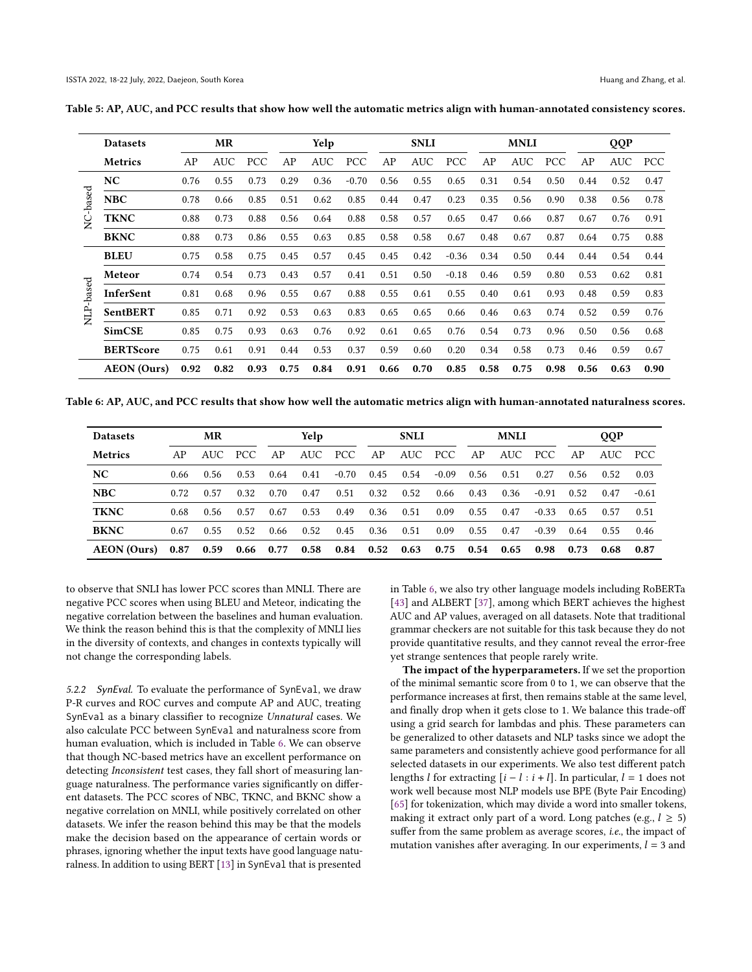|        | <b>Datasets</b>    |      | MR         |            |      | Yelp |            |      | <b>SNLI</b> |            |      | <b>MNLI</b> |            |      | QQP  |            |
|--------|--------------------|------|------------|------------|------|------|------------|------|-------------|------------|------|-------------|------------|------|------|------------|
|        | <b>Metrics</b>     | AP   | <b>AUC</b> | <b>PCC</b> | AP   | AUC  | <b>PCC</b> | AP   | <b>AUC</b>  | <b>PCC</b> | AP   | <b>AUC</b>  | <b>PCC</b> | AP   | AUC  | <b>PCC</b> |
|        | NC                 | 0.76 | 0.55       | 0.73       | 0.29 | 0.36 | $-0.70$    | 0.56 | 0.55        | 0.65       | 0.31 | 0.54        | 0.50       | 0.44 | 0.52 | 0.47       |
| -based | <b>NBC</b>         | 0.78 | 0.66       | 0.85       | 0.51 | 0.62 | 0.85       | 0.44 | 0.47        | 0.23       | 0.35 | 0.56        | 0.90       | 0.38 | 0.56 | 0.78       |
| Š      | <b>TKNC</b>        | 0.88 | 0.73       | 0.88       | 0.56 | 0.64 | 0.88       | 0.58 | 0.57        | 0.65       | 0.47 | 0.66        | 0.87       | 0.67 | 0.76 | 0.91       |
|        | <b>BKNC</b>        | 0.88 | 0.73       | 0.86       | 0.55 | 0.63 | 0.85       | 0.58 | 0.58        | 0.67       | 0.48 | 0.67        | 0.87       | 0.64 | 0.75 | 0.88       |
|        | <b>BLEU</b>        | 0.75 | 0.58       | 0.75       | 0.45 | 0.57 | 0.45       | 0.45 | 0.42        | $-0.36$    | 0.34 | 0.50        | 0.44       | 0.44 | 0.54 | 0.44       |
|        | Meteor             | 0.74 | 0.54       | 0.73       | 0.43 | 0.57 | 0.41       | 0.51 | 0.50        | $-0.18$    | 0.46 | 0.59        | 0.80       | 0.53 | 0.62 | 0.81       |
| -based | InferSent          | 0.81 | 0.68       | 0.96       | 0.55 | 0.67 | 0.88       | 0.55 | 0.61        | 0.55       | 0.40 | 0.61        | 0.93       | 0.48 | 0.59 | 0.83       |
| È      | <b>SentBERT</b>    | 0.85 | 0.71       | 0.92       | 0.53 | 0.63 | 0.83       | 0.65 | 0.65        | 0.66       | 0.46 | 0.63        | 0.74       | 0.52 | 0.59 | 0.76       |
|        | <b>SimCSE</b>      | 0.85 | 0.75       | 0.93       | 0.63 | 0.76 | 0.92       | 0.61 | 0.65        | 0.76       | 0.54 | 0.73        | 0.96       | 0.50 | 0.56 | 0.68       |
|        | <b>BERTScore</b>   | 0.75 | 0.61       | 0.91       | 0.44 | 0.53 | 0.37       | 0.59 | 0.60        | 0.20       | 0.34 | 0.58        | 0.73       | 0.46 | 0.59 | 0.67       |
|        | <b>AEON</b> (Ours) | 0.92 | 0.82       | 0.93       | 0.75 | 0.84 | 0.91       | 0.66 | 0.70        | 0.85       | 0.58 | 0.75        | 0.98       | 0.56 | 0.63 | 0.90       |

<span id="page-7-0"></span>Table 5: AP, AUC, and PCC results that show how well the automatic metrics align with human-annotated consistency scores.

<span id="page-7-1"></span>Table 6: AP, AUC, and PCC results that show how well the automatic metrics align with human-annotated naturalness scores.

| <b>Datasets</b>    |      | MR   |             |      | Yelp |             |      | <b>SNLI</b> |         |      | <b>MNLI</b> |         |      | <b>OOP</b> |         |
|--------------------|------|------|-------------|------|------|-------------|------|-------------|---------|------|-------------|---------|------|------------|---------|
| <b>Metrics</b>     | AP   | AUC. | PCC.        | AP   | AUC  | PCC.        | AP   | AUC         | PCC.    | AP   | AUC         | PCC.    | AP   | AUC        | - PCC   |
| NC.                | 0.66 | 0.56 | 0.53        | 0.64 | 0.41 | $-0.70$     | 0.45 | 0.54        | $-0.09$ | 0.56 | 0.51        | 0.27    | 0.56 | 0.52       | 0.03    |
| <b>NBC</b>         | 0.72 | 0.57 | 0.32        | 0.70 | 0.47 | 0.51        | 0.32 | 0.52        | 0.66    | 0.43 | 0.36        | $-0.91$ | 0.52 | 0.47       | $-0.61$ |
| <b>TKNC</b>        | 0.68 | 0.56 | 0.57        | 0.67 | 0.53 | 0.49        | 0.36 | 0.51        | 0.09    | 0.55 | 0.47        | $-0.33$ | 0.65 | 0.57       | 0.51    |
| <b>BKNC</b>        | 0.67 | 0.55 | 0.52        | 0.66 | 0.52 | 0.45        | 0.36 | 0.51        | 0.09    | 0.55 | 0.47        | $-0.39$ | 0.64 | 0.55       | 0.46    |
| <b>AEON</b> (Ours) | 0.87 | 0.59 | $0.66$ 0.77 |      |      | $0.58$ 0.84 | 0.52 | 0.63        | 0.75    | 0.54 | 0.65        | 0.98    | 0.73 | 0.68       | 0.87    |

to observe that SNLI has lower PCC scores than MNLI. There are negative PCC scores when using BLEU and Meteor, indicating the negative correlation between the baselines and human evaluation. We think the reason behind this is that the complexity of MNLI lies in the diversity of contexts, and changes in contexts typically will not change the corresponding labels.

5.2.2 SynEval. To evaluate the performance of SynEval, we draw P-R curves and ROC curves and compute AP and AUC, treating SynEval as a binary classifier to recognize Unnatural cases. We also calculate PCC between SynEval and naturalness score from human evaluation, which is included in Table [6.](#page-7-1) We can observe that though NC-based metrics have an excellent performance on detecting Inconsistent test cases, they fall short of measuring language naturalness. The performance varies significantly on different datasets. The PCC scores of NBC, TKNC, and BKNC show a negative correlation on MNLI, while positively correlated on other datasets. We infer the reason behind this may be that the models make the decision based on the appearance of certain words or phrases, ignoring whether the input texts have good language naturalness. In addition to using BERT [\[13\]](#page-11-18) in SynEval that is presented

in Table [6,](#page-7-1) we also try other language models including RoBERTa [\[43\]](#page-11-20) and ALBERT [\[37\]](#page-11-21), among which BERT achieves the highest AUC and AP values, averaged on all datasets. Note that traditional grammar checkers are not suitable for this task because they do not provide quantitative results, and they cannot reveal the error-free yet strange sentences that people rarely write.

The impact of the hyperparameters. If we set the proportion of the minimal semantic score from 0 to 1, we can observe that the performance increases at first, then remains stable at the same level, and finally drop when it gets close to 1. We balance this trade-off using a grid search for lambdas and phis. These parameters can be generalized to other datasets and NLP tasks since we adopt the same parameters and consistently achieve good performance for all selected datasets in our experiments. We also test different patch lengths *l* for extracting  $[i - l : i + l]$ . In particular,  $l = 1$  does not work well because most NLP models use BPE (Byte Pair Encoding) [\[65\]](#page-12-19) for tokenization, which may divide a word into smaller tokens, making it extract only part of a word. Long patches (e.g.,  $l \geq 5$ ) suffer from the same problem as average scores, i.e., the impact of mutation vanishes after averaging. In our experiments,  $l = 3$  and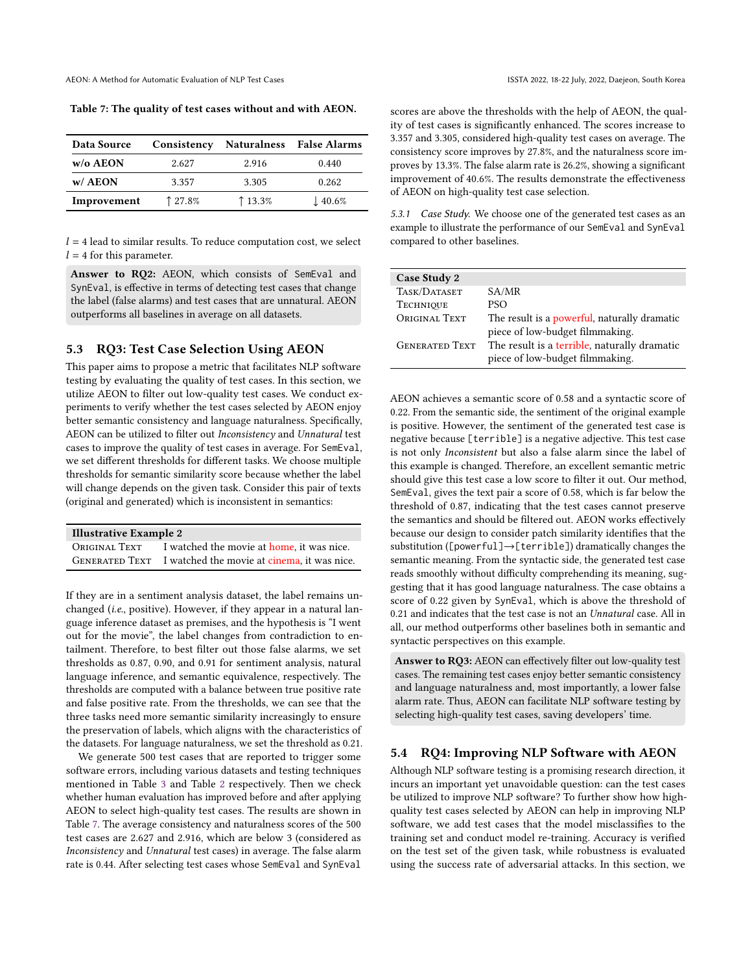<span id="page-8-2"></span>Table 7: The quality of test cases without and with AEON.

| Data Source     | Consistency |       | <b>Naturalness</b> False Alarms |
|-----------------|-------------|-------|---------------------------------|
| $w/\sigma$ AEON | 2.627       | 2.916 | 0.440                           |
| $w/$ AEON       | 3.357       | 3.305 | 0.262                           |
| Improvement     | 127.8%      | 13.3% | $\downarrow$ 40.6%              |

 $l = 4$  lead to similar results. To reduce computation cost, we select  $l = 4$  for this parameter.

Answer to RQ2: AEON, which consists of SemEval and SynEval, is effective in terms of detecting test cases that change the label (false alarms) and test cases that are unnatural. AEON outperforms all baselines in average on all datasets.

## <span id="page-8-0"></span>5.3 RQ3: Test Case Selection Using AEON

This paper aims to propose a metric that facilitates NLP software testing by evaluating the quality of test cases. In this section, we utilize AEON to filter out low-quality test cases. We conduct experiments to verify whether the test cases selected by AEON enjoy better semantic consistency and language naturalness. Specifically, AEON can be utilized to filter out Inconsistency and Unnatural test cases to improve the quality of test cases in average. For SemEval, we set different thresholds for different tasks. We choose multiple thresholds for semantic similarity score because whether the label will change depends on the given task. Consider this pair of texts (original and generated) which is inconsistent in semantics:

| <b>Illustrative Example 2</b> |                                                            |  |  |  |  |  |
|-------------------------------|------------------------------------------------------------|--|--|--|--|--|
|                               | ORIGINAL TEXT I watched the movie at home, it was nice.    |  |  |  |  |  |
|                               | GENERATED TEXT I watched the movie at cinema, it was nice. |  |  |  |  |  |

If they are in a sentiment analysis dataset, the label remains unchanged (i.e., positive). However, if they appear in a natural language inference dataset as premises, and the hypothesis is "I went out for the movie", the label changes from contradiction to entailment. Therefore, to best filter out those false alarms, we set thresholds as 0.87, 0.90, and 0.91 for sentiment analysis, natural language inference, and semantic equivalence, respectively. The thresholds are computed with a balance between true positive rate and false positive rate. From the thresholds, we can see that the three tasks need more semantic similarity increasingly to ensure the preservation of labels, which aligns with the characteristics of the datasets. For language naturalness, we set the threshold as 0.21.

We generate 500 test cases that are reported to trigger some software errors, including various datasets and testing techniques mentioned in Table [3](#page-4-2) and Table [2](#page-2-2) respectively. Then we check whether human evaluation has improved before and after applying AEON to select high-quality test cases. The results are shown in Table [7.](#page-8-2) The average consistency and naturalness scores of the 500 test cases are 2.627 and 2.916, which are below 3 (considered as Inconsistency and Unnatural test cases) in average. The false alarm rate is 0.44. After selecting test cases whose SemEval and SynEval scores are above the thresholds with the help of AEON, the quality of test cases is significantly enhanced. The scores increase to 3.357 and 3.305, considered high-quality test cases on average. The consistency score improves by 27.8%, and the naturalness score improves by 13.3%. The false alarm rate is 26.2%, showing a significant improvement of 40.6%. The results demonstrate the effectiveness of AEON on high-quality test case selection.

5.3.1 Case Study. We choose one of the generated test cases as an example to illustrate the performance of our SemEval and SynEval compared to other baselines.

| Case Study 2          |                                                                                 |
|-----------------------|---------------------------------------------------------------------------------|
| TASK/DATASET          | SA/MR                                                                           |
| <b>TECHNIQUE</b>      | <b>PSO</b>                                                                      |
| ORIGINAL TEXT         | The result is a powerful, naturally dramatic<br>piece of low-budget filmmaking. |
| <b>GENERATED TEXT</b> | The result is a terrible, naturally dramatic<br>piece of low-budget filmmaking. |

AEON achieves a semantic score of 0.58 and a syntactic score of 0.22. From the semantic side, the sentiment of the original example is positive. However, the sentiment of the generated test case is negative because [terrible] is a negative adjective. This test case is not only Inconsistent but also a false alarm since the label of this example is changed. Therefore, an excellent semantic metric should give this test case a low score to filter it out. Our method, SemEval, gives the text pair a score of 0.58, which is far below the threshold of 0.87, indicating that the test cases cannot preserve the semantics and should be filtered out. AEON works effectively because our design to consider patch similarity identifies that the substitution ([powerful]→[terrible]) dramatically changes the semantic meaning. From the syntactic side, the generated test case reads smoothly without difficulty comprehending its meaning, suggesting that it has good language naturalness. The case obtains a score of 0.22 given by SynEval, which is above the threshold of 0.21 and indicates that the test case is not an Unnatural case. All in all, our method outperforms other baselines both in semantic and syntactic perspectives on this example.

Answer to RQ3: AEON can effectively filter out low-quality test cases. The remaining test cases enjoy better semantic consistency and language naturalness and, most importantly, a lower false alarm rate. Thus, AEON can facilitate NLP software testing by selecting high-quality test cases, saving developers' time.

#### <span id="page-8-1"></span>5.4 RQ4: Improving NLP Software with AEON

Although NLP software testing is a promising research direction, it incurs an important yet unavoidable question: can the test cases be utilized to improve NLP software? To further show how highquality test cases selected by AEON can help in improving NLP software, we add test cases that the model misclassifies to the training set and conduct model re-training. Accuracy is verified on the test set of the given task, while robustness is evaluated using the success rate of adversarial attacks. In this section, we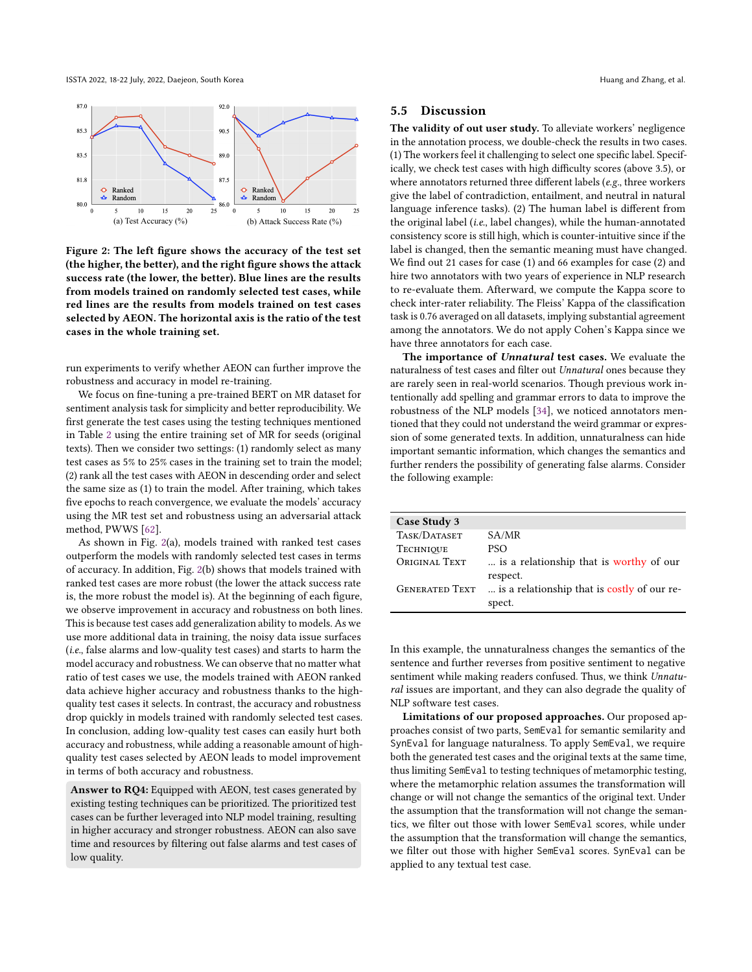ISSTA 2022, 18-22 July, 2022, Daejeon, South Korea Huang and Zhang, et al. and Zhang and Zhang, et al.

<span id="page-9-0"></span>

Figure 2: The left figure shows the accuracy of the test set (the higher, the better), and the right figure shows the attack success rate (the lower, the better). Blue lines are the results from models trained on randomly selected test cases, while red lines are the results from models trained on test cases selected by AEON. The horizontal axis is the ratio of the test cases in the whole training set.

run experiments to verify whether AEON can further improve the robustness and accuracy in model re-training.

We focus on fine-tuning a pre-trained BERT on MR dataset for sentiment analysis task for simplicity and better reproducibility. We first generate the test cases using the testing techniques mentioned in Table [2](#page-2-2) using the entire training set of MR for seeds (original texts). Then we consider two settings: (1) randomly select as many test cases as 5% to 25% cases in the training set to train the model; (2) rank all the test cases with AEON in descending order and select the same size as (1) to train the model. After training, which takes five epochs to reach convergence, we evaluate the models' accuracy using the MR test set and robustness using an adversarial attack method, PWWS [\[62\]](#page-12-15).

As shown in Fig. [2\(](#page-9-0)a), models trained with ranked test cases outperform the models with randomly selected test cases in terms of accuracy. In addition, Fig. [2\(](#page-9-0)b) shows that models trained with ranked test cases are more robust (the lower the attack success rate is, the more robust the model is). At the beginning of each figure, we observe improvement in accuracy and robustness on both lines. This is because test cases add generalization ability to models. As we use more additional data in training, the noisy data issue surfaces (i.e., false alarms and low-quality test cases) and starts to harm the model accuracy and robustness. We can observe that no matter what ratio of test cases we use, the models trained with AEON ranked data achieve higher accuracy and robustness thanks to the highquality test cases it selects. In contrast, the accuracy and robustness drop quickly in models trained with randomly selected test cases. In conclusion, adding low-quality test cases can easily hurt both accuracy and robustness, while adding a reasonable amount of highquality test cases selected by AEON leads to model improvement in terms of both accuracy and robustness.

Answer to RQ4: Equipped with AEON, test cases generated by existing testing techniques can be prioritized. The prioritized test cases can be further leveraged into NLP model training, resulting in higher accuracy and stronger robustness. AEON can also save time and resources by filtering out false alarms and test cases of low quality.

#### 5.5 Discussion

The validity of out user study. To alleviate workers' negligence in the annotation process, we double-check the results in two cases. (1) The workers feel it challenging to select one specific label. Specifically, we check test cases with high difficulty scores (above 3.5), or where annotators returned three different labels (e.g., three workers give the label of contradiction, entailment, and neutral in natural language inference tasks). (2) The human label is different from the original label (i.e., label changes), while the human-annotated consistency score is still high, which is counter-intuitive since if the label is changed, then the semantic meaning must have changed. We find out 21 cases for case (1) and 66 examples for case (2) and hire two annotators with two years of experience in NLP research to re-evaluate them. Afterward, we compute the Kappa score to check inter-rater reliability. The Fleiss' Kappa of the classification task is 0.76 averaged on all datasets, implying substantial agreement among the annotators. We do not apply Cohen's Kappa since we have three annotators for each case.

The importance of Unnatural test cases. We evaluate the naturalness of test cases and filter out Unnatural ones because they are rarely seen in real-world scenarios. Though previous work intentionally add spelling and grammar errors to data to improve the robustness of the NLP models [\[34\]](#page-11-25), we noticed annotators mentioned that they could not understand the weird grammar or expression of some generated texts. In addition, unnaturalness can hide important semantic information, which changes the semantics and further renders the possibility of generating false alarms. Consider the following example:

| Case Study 3          |                                                       |
|-----------------------|-------------------------------------------------------|
| TASK/DATASET          | SA/MR                                                 |
| <b>TECHNIQUE</b>      | PSO.                                                  |
| ORIGINAL TEXT         | is a relationship that is worthy of our<br>respect.   |
| <b>GENERATED TEXT</b> | is a relationship that is costly of our re-<br>spect. |

In this example, the unnaturalness changes the semantics of the sentence and further reverses from positive sentiment to negative sentiment while making readers confused. Thus, we think Unnatural issues are important, and they can also degrade the quality of NLP software test cases.

Limitations of our proposed approaches. Our proposed approaches consist of two parts, SemEval for semantic semilarity and SynEval for language naturalness. To apply SemEval, we require both the generated test cases and the original texts at the same time, thus limiting SemEval to testing techniques of metamorphic testing, where the metamorphic relation assumes the transformation will change or will not change the semantics of the original text. Under the assumption that the transformation will not change the semantics, we filter out those with lower SemEval scores, while under the assumption that the transformation will change the semantics, we filter out those with higher SemEval scores. SynEval can be applied to any textual test case.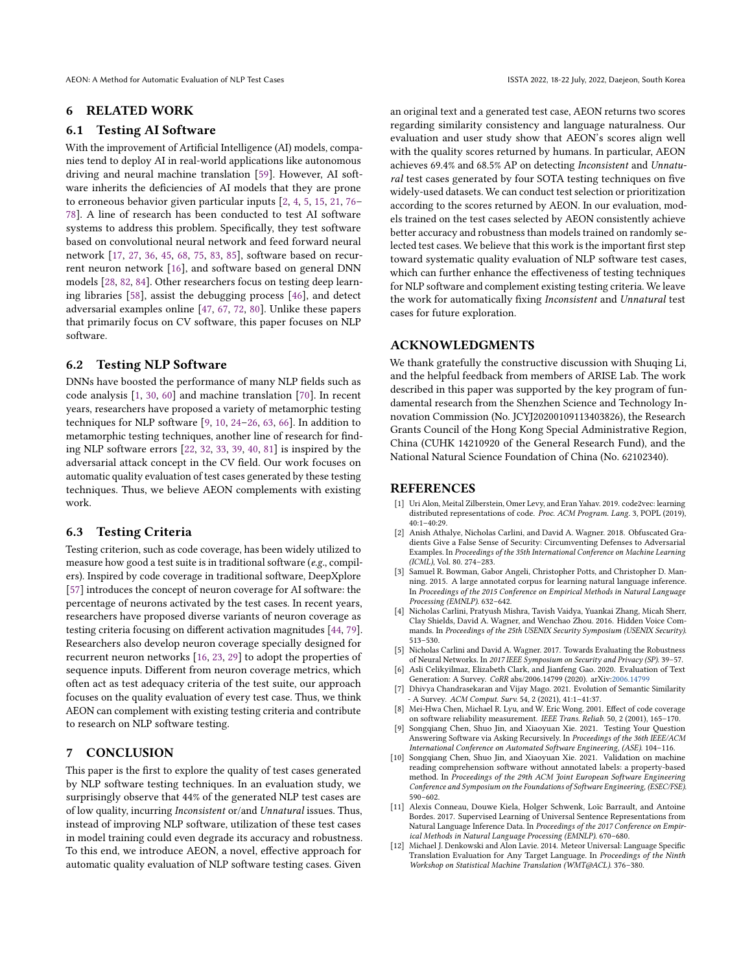AEON: A Method for Automatic Evaluation of NLP Test Cases ISSTA 2022, 18-22 July, 2022, Daejeon, South Korea

## 6 RELATED WORK

#### 6.1 Testing AI Software

With the improvement of Artificial Intelligence (AI) models, companies tend to deploy AI in real-world applications like autonomous driving and neural machine translation [\[59\]](#page-12-20). However, AI software inherits the deficiencies of AI models that they are prone to erroneous behavior given particular inputs [\[2,](#page-10-8) [4,](#page-10-9) [5,](#page-10-3) [15,](#page-11-26) [21,](#page-11-27) [76–](#page-12-21) [78\]](#page-12-22). A line of research has been conducted to test AI software systems to address this problem. Specifically, they test software based on convolutional neural network and feed forward neural network [\[17,](#page-11-28) [27,](#page-11-29) [36,](#page-11-30) [45,](#page-11-31) [68,](#page-12-12) [75,](#page-12-23) [83,](#page-12-24) [85\]](#page-12-25), software based on recurrent neuron network [\[16\]](#page-11-32), and software based on general DNN models [\[28,](#page-11-33) [82,](#page-12-26) [84\]](#page-12-27). Other researchers focus on testing deep learning libraries [\[58\]](#page-12-28), assist the debugging process [\[46\]](#page-11-34), and detect adversarial examples online [\[47,](#page-11-35) [67,](#page-12-29) [72,](#page-12-30) [80\]](#page-12-31). Unlike these papers that primarily focus on CV software, this paper focuses on NLP software.

## 6.2 Testing NLP Software

DNNs have boosted the performance of many NLP fields such as code analysis [\[1,](#page-10-10) [30,](#page-11-36) [60\]](#page-12-32) and machine translation [\[70\]](#page-12-3). In recent years, researchers have proposed a variety of metamorphic testing techniques for NLP software [\[9,](#page-10-11) [10,](#page-10-0) [24](#page-11-37)[–26,](#page-11-14) [63,](#page-12-5) [66\]](#page-12-33). In addition to metamorphic testing techniques, another line of research for finding NLP software errors [\[22,](#page-11-38) [32,](#page-11-11) [33,](#page-11-10) [39,](#page-11-39) [40,](#page-11-6) [81\]](#page-12-6) is inspired by the adversarial attack concept in the CV field. Our work focuses on automatic quality evaluation of test cases generated by these testing techniques. Thus, we believe AEON complements with existing work.

## 6.3 Testing Criteria

Testing criterion, such as code coverage, has been widely utilized to measure how good a test suite is in traditional software (e.g., compilers). Inspired by code coverage in traditional software, DeepXplore [\[57\]](#page-12-11) introduces the concept of neuron coverage for AI software: the percentage of neurons activated by the test cases. In recent years, researchers have proposed diverse variants of neuron coverage as testing criteria focusing on different activation magnitudes [\[44,](#page-11-23) [79\]](#page-12-13). Researchers also develop neuron coverage specially designed for recurrent neuron networks [\[16,](#page-11-32) [23,](#page-11-40) [29\]](#page-11-41) to adopt the properties of sequence inputs. Different from neuron coverage metrics, which often act as test adequacy criteria of the test suite, our approach focuses on the quality evaluation of every test case. Thus, we think AEON can complement with existing testing criteria and contribute to research on NLP software testing.

## 7 CONCLUSION

This paper is the first to explore the quality of test cases generated by NLP software testing techniques. In an evaluation study, we surprisingly observe that 44% of the generated NLP test cases are of low quality, incurring Inconsistent or/and Unnatural issues. Thus, instead of improving NLP software, utilization of these test cases in model training could even degrade its accuracy and robustness. To this end, we introduce AEON, a novel, effective approach for automatic quality evaluation of NLP software testing cases. Given

an original text and a generated test case, AEON returns two scores regarding similarity consistency and language naturalness. Our evaluation and user study show that AEON's scores align well with the quality scores returned by humans. In particular, AEON achieves 69.4% and 68.5% AP on detecting Inconsistent and Unnatural test cases generated by four SOTA testing techniques on five widely-used datasets. We can conduct test selection or prioritization according to the scores returned by AEON. In our evaluation, models trained on the test cases selected by AEON consistently achieve better accuracy and robustness than models trained on randomly selected test cases. We believe that this work is the important first step toward systematic quality evaluation of NLP software test cases, which can further enhance the effectiveness of testing techniques for NLP software and complement existing testing criteria. We leave the work for automatically fixing Inconsistent and Unnatural test cases for future exploration.

## ACKNOWLEDGMENTS

We thank gratefully the constructive discussion with Shuqing Li, and the helpful feedback from members of ARISE Lab. The work described in this paper was supported by the key program of fundamental research from the Shenzhen Science and Technology Innovation Commission (No. JCYJ20200109113403826), the Research Grants Council of the Hong Kong Special Administrative Region, China (CUHK 14210920 of the General Research Fund), and the National Natural Science Foundation of China (No. 62102340).

### REFERENCES

- <span id="page-10-10"></span>[1] Uri Alon, Meital Zilberstein, Omer Levy, and Eran Yahav. 2019. code2vec: learning distributed representations of code. Proc. ACM Program. Lang. 3, POPL (2019), 40:1–40:29.
- <span id="page-10-8"></span>[2] Anish Athalye, Nicholas Carlini, and David A. Wagner. 2018. Obfuscated Gradients Give a False Sense of Security: Circumventing Defenses to Adversarial Examples. In Proceedings of the 35th International Conference on Machine Learning (ICML), Vol. 80. 274–283.
- <span id="page-10-1"></span>[3] Samuel R. Bowman, Gabor Angeli, Christopher Potts, and Christopher D. Manning. 2015. A large annotated corpus for learning natural language inference. In Proceedings of the 2015 Conference on Empirical Methods in Natural Language Processing (EMNLP). 632–642.
- <span id="page-10-9"></span>[4] Nicholas Carlini, Pratyush Mishra, Tavish Vaidya, Yuankai Zhang, Micah Sherr, Clay Shields, David A. Wagner, and Wenchao Zhou. 2016. Hidden Voice Commands. In Proceedings of the 25th USENIX Security Symposium (USENIX Security). 513–530.
- <span id="page-10-3"></span>[5] Nicholas Carlini and David A. Wagner. 2017. Towards Evaluating the Robustness of Neural Networks. In 2017 IEEE Symposium on Security and Privacy (SP). 39–57.
- <span id="page-10-5"></span>[6] Asli Celikyilmaz, Elizabeth Clark, and Jianfeng Gao. 2020. Evaluation of Text Generation: A Survey. CoRR abs/2006.14799 (2020). arXiv[:2006.14799](https://arxiv.org/abs/2006.14799)
- <span id="page-10-7"></span>[7] Dhivya Chandrasekaran and Vijay Mago. 2021. Evolution of Semantic Similarity - A Survey. ACM Comput. Surv. 54, 2 (2021), 41:1–41:37.
- <span id="page-10-2"></span>[8] Mei-Hwa Chen, Michael R. Lyu, and W. Eric Wong. 2001. Effect of code coverage on software reliability measurement. IEEE Trans. Reliab. 50, 2 (2001), 165–170.
- <span id="page-10-11"></span>[9] Songqiang Chen, Shuo Jin, and Xiaoyuan Xie. 2021. Testing Your Question Answering Software via Asking Recursively. In Proceedings of the 36th IEEE/ACM International Conference on Automated Software Engineering, (ASE). 104–116.
- <span id="page-10-0"></span>[10] Songqiang Chen, Shuo Jin, and Xiaoyuan Xie. 2021. Validation on machine reading comprehension software without annotated labels: a property-based method. In Proceedings of the 29th ACM Joint European Software Engineering Conference and Symposium on the Foundations of Software Engineering, (ESEC/FSE). 590–602.
- <span id="page-10-4"></span>[11] Alexis Conneau, Douwe Kiela, Holger Schwenk, Loïc Barrault, and Antoine Bordes. 2017. Supervised Learning of Universal Sentence Representations from Natural Language Inference Data. In Proceedings of the 2017 Conference on Empirical Methods in Natural Language Processing (EMNLP). 670–680.
- <span id="page-10-6"></span>[12] Michael J. Denkowski and Alon Lavie. 2014. Meteor Universal: Language Specific Translation Evaluation for Any Target Language. In Proceedings of the Ninth Workshop on Statistical Machine Translation (WMT@ACL). 376–380.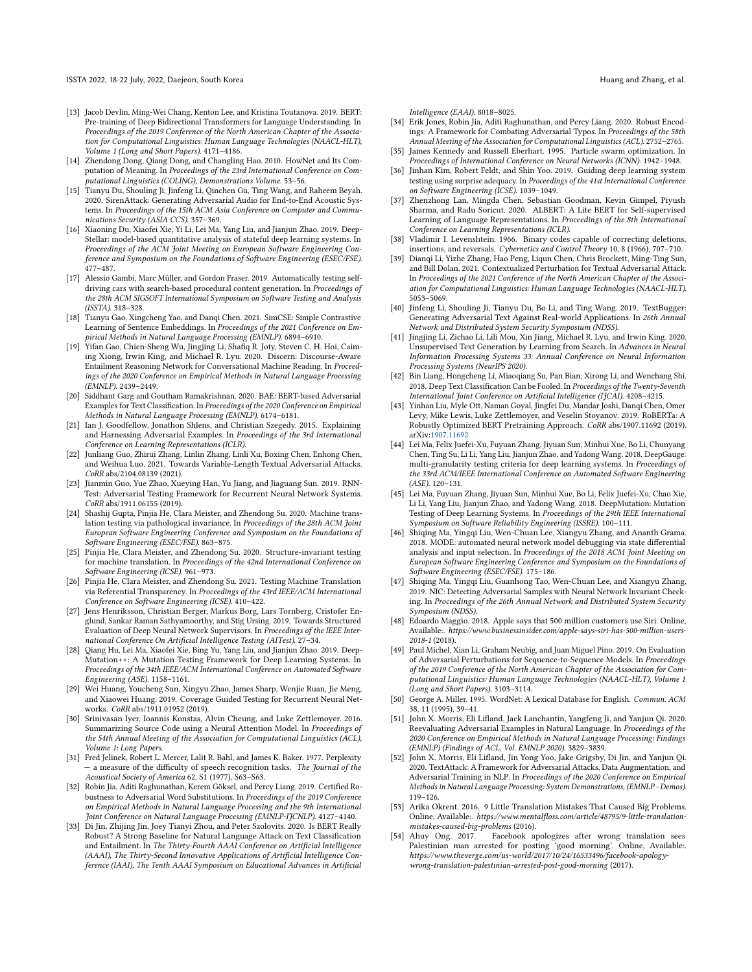ISSTA 2022, 18-22 July, 2022, Daejeon, South Korea Huang and Zhang, et al. and Zhang and Zhang, et al.

- <span id="page-11-18"></span>[13] Jacob Devlin, Ming-Wei Chang, Kenton Lee, and Kristina Toutanova. 2019. BERT: Pre-training of Deep Bidirectional Transformers for Language Understanding. In Proceedings of the 2019 Conference of the North American Chapter of the Association for Computational Linguistics: Human Language Technologies (NAACL-HLT), Volume 1 (Long and Short Papers). 4171–4186.
- <span id="page-11-13"></span>[14] Zhendong Dong, Qiang Dong, and Changling Hao. 2010. HowNet and Its Computation of Meaning. In Proceedings of the 23rd International Conference on Computational Linguistics (COLING), Demonstrations Volume. 53–56.
- <span id="page-11-26"></span>[15] Tianyu Du, Shouling Ji, Jinfeng Li, Qinchen Gu, Ting Wang, and Raheem Beyah. 2020. SirenAttack: Generating Adversarial Audio for End-to-End Acoustic Systems. In Proceedings of the 15th ACM Asia Conference on Computer and Communications Security (ASIA CCS). 357–369.
- <span id="page-11-32"></span>[16] Xiaoning Du, Xiaofei Xie, Yi Li, Lei Ma, Yang Liu, and Jianjun Zhao. 2019. Deep-Stellar: model-based quantitative analysis of stateful deep learning systems. In Proceedings of the ACM Joint Meeting on European Software Engineering Conference and Symposium on the Foundations of Software Engineering (ESEC/FSE). 477–487.
- <span id="page-11-28"></span>[17] Alessio Gambi, Marc Müller, and Gordon Fraser. 2019. Automatically testing selfdriving cars with search-based procedural content generation. In Proceedings of the 28th ACM SIGSOFT International Symposium on Software Testing and Analysis (ISSTA). 318–328.
- <span id="page-11-19"></span>[18] Tianyu Gao, Xingcheng Yao, and Danqi Chen. 2021. SimCSE: Simple Contrastive Learning of Sentence Embeddings. In Proceedings of the 2021 Conference on Empirical Methods in Natural Language Processing (EMNLP). 6894–6910.
- <span id="page-11-1"></span>[19] Yifan Gao, Chien-Sheng Wu, Jingjing Li, Shafiq R. Joty, Steven C. H. Hoi, Caiming Xiong, Irwin King, and Michael R. Lyu. 2020. Discern: Discourse-Aware Entailment Reasoning Network for Conversational Machine Reading. In Proceedings of the 2020 Conference on Empirical Methods in Natural Language Processing (EMNLP). 2439–2449.
- <span id="page-11-9"></span>[20] Siddhant Garg and Goutham Ramakrishnan. 2020. BAE: BERT-based Adversarial Examples for Text Classification. In Proceedings of the 2020 Conference on Empirical Methods in Natural Language Processing (EMNLP). 6174–6181.
- <span id="page-11-27"></span>[21] Ian J. Goodfellow, Jonathon Shlens, and Christian Szegedy. 2015. Explaining and Harnessing Adversarial Examples. In Proceedings of the 3rd International Conference on Learning Representations (ICLR).
- <span id="page-11-38"></span>[22] Junliang Guo, Zhirui Zhang, Linlin Zhang, Linli Xu, Boxing Chen, Enhong Chen, and Weihua Luo. 2021. Towards Variable-Length Textual Adversarial Attacks. CoRR abs/2104.08139 (2021).
- <span id="page-11-40"></span>[23] Jianmin Guo, Yue Zhao, Xueying Han, Yu Jiang, and Jiaguang Sun. 2019. RNN-Test: Adversarial Testing Framework for Recurrent Neural Network Systems. CoRR abs/1911.06155 (2019).
- <span id="page-11-37"></span>[24] Shashij Gupta, Pinjia He, Clara Meister, and Zhendong Su. 2020. Machine translation testing via pathological invariance. In Proceedings of the 28th ACM Joint European Software Engineering Conference and Symposium on the Foundations of Software Engineering (ESEC/FSE). 863–875.
- <span id="page-11-5"></span>[25] Pinjia He, Clara Meister, and Zhendong Su. 2020. Structure-invariant testing for machine translation. In Proceedings of the 42nd International Conference on Software Engineering (ICSE). 961–973.
- <span id="page-11-14"></span>[26] Pinjia He, Clara Meister, and Zhendong Su. 2021. Testing Machine Translation via Referential Transparency. In Proceedings of the 43rd IEEE/ACM International Conference on Software Engineering (ICSE). 410–422.
- <span id="page-11-29"></span>[27] Jens Henriksson, Christian Berger, Markus Borg, Lars Tornberg, Cristofer Englund, Sankar Raman Sathyamoorthy, and Stig Ursing. 2019. Towards Structured Evaluation of Deep Neural Network Supervisors. In Proceedings of the IEEE International Conference On Artificial Intelligence Testing (AITest). 27–34.
- <span id="page-11-33"></span>[28] Qiang Hu, Lei Ma, Xiaofei Xie, Bing Yu, Yang Liu, and Jianjun Zhao. 2019. Deep-Mutation++: A Mutation Testing Framework for Deep Learning Systems. In Proceedings of the 34th IEEE/ACM International Conference on Automated Software Engineering (ASE). 1158–1161.
- <span id="page-11-41"></span>[29] Wei Huang, Youcheng Sun, Xingyu Zhao, James Sharp, Wenjie Ruan, Jie Meng, and Xiaowei Huang. 2019. Coverage Guided Testing for Recurrent Neural Networks. CoRR abs/1911.01952 (2019).
- <span id="page-11-36"></span>[30] Srinivasan Iyer, Ioannis Konstas, Alvin Cheung, and Luke Zettlemoyer. 2016. Summarizing Source Code using a Neural Attention Model. In Proceedings of the 54th Annual Meeting of the Association for Computational Linguistics (ACL), Volume 1: Long Papers.
- <span id="page-11-22"></span>[31] Fred Jelinek, Robert L. Mercer, Lalit R. Bahl, and James K. Baker. 1977. Perplexity a measure of the difficulty of speech recognition tasks. The Journal of the Acoustical Society of America 62, S1 (1977), S63–S63.
- <span id="page-11-11"></span>[32] Robin Jia, Aditi Raghunathan, Kerem Göksel, and Percy Liang. 2019. Certified Robustness to Adversarial Word Substitutions. In Proceedings of the 2019 Conference on Empirical Methods in Natural Language Processing and the 9th International Joint Conference on Natural Language Processing (EMNLP-IJCNLP). 4127–4140.
- <span id="page-11-10"></span>[33] Di Jin, Zhijing Jin, Joey Tianyi Zhou, and Peter Szolovits. 2020. Is BERT Really Robust? A Strong Baseline for Natural Language Attack on Text Classification and Entailment. In The Thirty-Fourth AAAI Conference on Artificial Intelligence (AAAI), The Thirty-Second Innovative Applications of Artificial Intelligence Conference (IAAI), The Tenth AAAI Symposium on Educational Advances in Artificial

Intelligence (EAAI). 8018–8025.

- <span id="page-11-25"></span>[34] Erik Jones, Robin Jia, Aditi Raghunathan, and Percy Liang. 2020. Robust Encodings: A Framework for Combating Adversarial Typos. In Proceedings of the 58th Annual Meeting of the Association for Computational Linguistics (ACL). 2752–2765.
- <span id="page-11-12"></span>[35] James Kennedy and Russell Eberhart. 1995. Particle swarm optimization. In Proceedings of International Conference on Neural Networks (ICNN). 1942-1948.
- <span id="page-11-30"></span>[36] Jinhan Kim, Robert Feldt, and Shin Yoo. 2019. Guiding deep learning system testing using surprise adequacy. In Proceedings of the 41st International Conference on Software Engineering (ICSE). 1039–1049.
- <span id="page-11-21"></span>[37] Zhenzhong Lan, Mingda Chen, Sebastian Goodman, Kevin Gimpel, Piyush Sharma, and Radu Soricut. 2020. ALBERT: A Lite BERT for Self-supervised Learning of Language Representations. In Proceedings of the 8th International Conference on Learning Representations (ICLR).
- <span id="page-11-17"></span>[38] Vladimir I. Levenshtein. 1966. Binary codes capable of correcting deletions, insertions, and reversals. Cybernetics and Control Theory 10, 8 (1966), 707–710.
- <span id="page-11-39"></span>[39] Dianqi Li, Yizhe Zhang, Hao Peng, Liqun Chen, Chris Brockett, Ming-Ting Sun, and Bill Dolan. 2021. Contextualized Perturbation for Textual Adversarial Attack. In Proceedings of the 2021 Conference of the North American Chapter of the Association for Computational Linguistics: Human Language Technologies (NAACL-HLT). 5053–5069.
- <span id="page-11-6"></span>[40] Jinfeng Li, Shouling Ji, Tianyu Du, Bo Li, and Ting Wang. 2019. TextBugger: Generating Adversarial Text Against Real-world Applications. In 26th Annual Network and Distributed System Security Symposium (NDSS).
- <span id="page-11-2"></span>[41] Jingjing Li, Zichao Li, Lili Mou, Xin Jiang, Michael R. Lyu, and Irwin King. 2020. Unsupervised Text Generation by Learning from Search. In Advances in Neural Information Processing Systems 33: Annual Conference on Neural Information Processing Systems (NeurIPS 2020).
- <span id="page-11-15"></span>[42] Bin Liang, Hongcheng Li, Miaoqiang Su, Pan Bian, Xirong Li, and Wenchang Shi. 2018. Deep Text Classification Can be Fooled. In Proceedings of the Twenty-Seventh International Joint Conference on Artificial Intelligence (IJCAI). 4208-4215.
- <span id="page-11-20"></span>[43] Yinhan Liu, Myle Ott, Naman Goyal, Jingfei Du, Mandar Joshi, Danqi Chen, Omer Levy, Mike Lewis, Luke Zettlemoyer, and Veselin Stoyanov. 2019. RoBERTa: A Robustly Optimized BERT Pretraining Approach. CoRR abs/1907.11692 (2019). arXiv[:1907.11692](https://arxiv.org/abs/1907.11692)
- <span id="page-11-23"></span>[44] Lei Ma, Felix Juefei-Xu, Fuyuan Zhang, Jiyuan Sun, Minhui Xue, Bo Li, Chunyang Chen, Ting Su, Li Li, Yang Liu, Jianjun Zhao, and Yadong Wang. 2018. DeepGauge: multi-granularity testing criteria for deep learning systems. In Proceedings of the 33rd ACM/IEEE International Conference on Automated Software Engineering (ASE). 120–131.
- <span id="page-11-31"></span>[45] Lei Ma, Fuyuan Zhang, Jiyuan Sun, Minhui Xue, Bo Li, Felix Juefei-Xu, Chao Xie, Li Li, Yang Liu, Jianjun Zhao, and Yadong Wang. 2018. DeepMutation: Mutation Testing of Deep Learning Systems. In Proceedings of the 29th IEEE International Symposium on Software Reliability Engineering (ISSRE). 100–111.
- <span id="page-11-34"></span>[46] Shiqing Ma, Yingqi Liu, Wen-Chuan Lee, Xiangyu Zhang, and Ananth Grama. 2018. MODE: automated neural network model debugging via state differential analysis and input selection. In Proceedings of the 2018 ACM Joint Meeting on European Software Engineering Conference and Symposium on the Foundations of Software Engineering (ESEC/FSE). 175–186.
- <span id="page-11-35"></span>[47] Shiqing Ma, Yingqi Liu, Guanhong Tao, Wen-Chuan Lee, and Xiangyu Zhang. 2019. NIC: Detecting Adversarial Samples with Neural Network Invariant Checking. In Proceedings of the 26th Annual Network and Distributed System Security Symposium (NDSS).
- <span id="page-11-0"></span>[48] Edoardo Maggio. 2018. Apple says that 500 million customers use Siri. Online, Available:. https://www.businessinsider.com/apple-says-siri-has-500-million-users-2018-1 (2018).
- <span id="page-11-7"></span>[49] Paul Michel, Xian Li, Graham Neubig, and Juan Miguel Pino. 2019. On Evaluation of Adversarial Perturbations for Sequence-to-Sequence Models. In Proceedings of the 2019 Conference of the North American Chapter of the Association for Computational Linguistics: Human Language Technologies (NAACL-HLT), Volume 1 (Long and Short Papers). 3103–3114.
- <span id="page-11-24"></span>[50] George A. Miller. 1995. WordNet: A Lexical Database for English. Commun. ACM 38, 11 (1995), 39–41.
- <span id="page-11-8"></span>[51] John X. Morris, Eli Lifland, Jack Lanchantin, Yangfeng Ji, and Yanjun Qi. 2020. Reevaluating Adversarial Examples in Natural Language. In Proceedings of the 2020 Conference on Empirical Methods in Natural Language Processing: Findings (EMNLP) (Findings of ACL, Vol. EMNLP 2020). 3829–3839.
- <span id="page-11-16"></span>[52] John X. Morris, Eli Lifland, Jin Yong Yoo, Jake Grigsby, Di Jin, and Yanjun Qi. 2020. TextAttack: A Framework for Adversarial Attacks, Data Augmentation, and Adversarial Training in NLP. In Proceedings of the 2020 Conference on Empirical Methods in Natural Language Processing: System Demonstrations, (EMNLP - Demos). 119–126.
- <span id="page-11-3"></span>[53] Arika Okrent. 2016. 9 Little Translation Mistakes That Caused Big Problems. Online, Available:. https://www.mentalfloss.com/article/48795/9-little-translationmistakes-caused-big-problems (2016).<br>[54] Ahuy Ong. 2017. Facebook ap
- <span id="page-11-4"></span>Facebook apologizes after wrong translation sees Palestinian man arrested for posting 'good morning'. Online, Available:. https://www.theverge.com/us-world/2017/10/24/16533496/facebook-apologywrong-translation-palestinian-arrested-post-good-morning (2017).